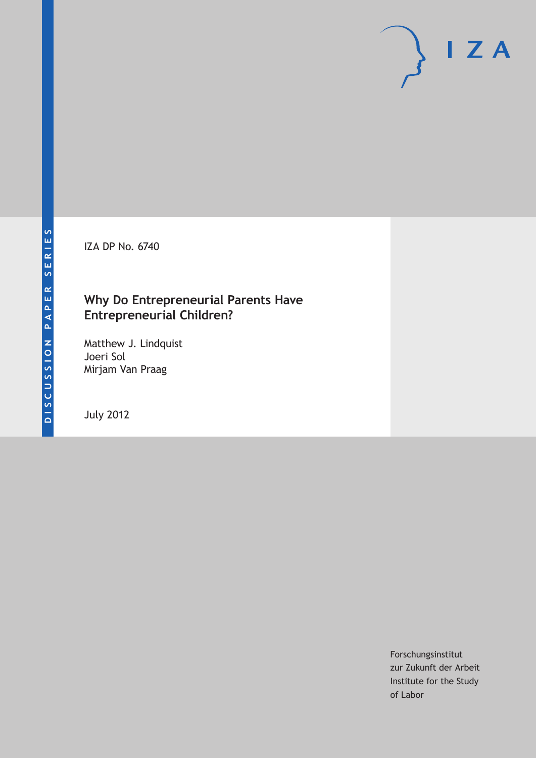IZA DP No. 6740

# **Why Do Entrepreneurial Parents Have Entrepreneurial Children?**

Matthew J. Lindquist Joeri Sol Mirjam Van Praag

July 2012

Forschungsinstitut zur Zukunft der Arbeit Institute for the Study of Labor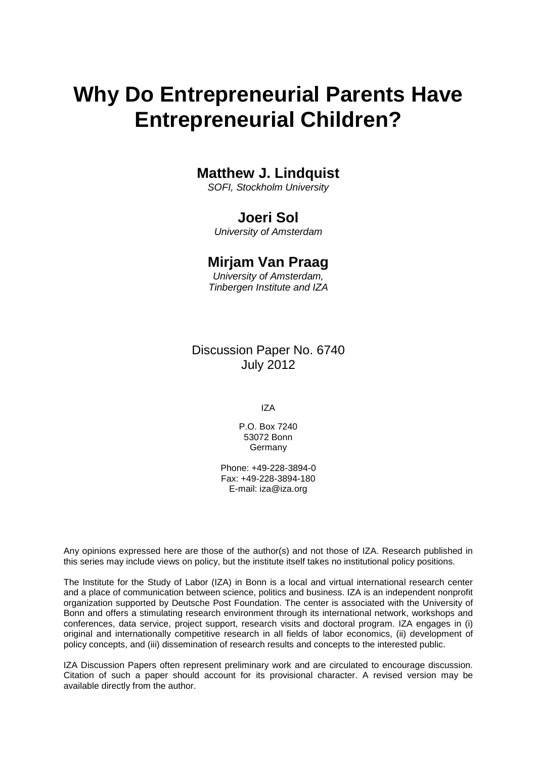# **Why Do Entrepreneurial Parents Have Entrepreneurial Children?**

### **Matthew J. Lindquist**

*SOFI, Stockholm University*

# **Joeri Sol**

*University of Amsterdam*

# **Mirjam Van Praag**

*University of Amsterdam, Tinbergen Institute and IZA*

Discussion Paper No. 6740 July 2012

IZA

P.O. Box 7240 53072 Bonn **Germany** 

Phone: +49-228-3894-0 Fax: +49-228-3894-180 E-mail: [iza@iza.org](mailto:iza@iza.org)

Any opinions expressed here are those of the author(s) and not those of IZA. Research published in this series may include views on policy, but the institute itself takes no institutional policy positions.

The Institute for the Study of Labor (IZA) in Bonn is a local and virtual international research center and a place of communication between science, politics and business. IZA is an independent nonprofit organization supported by Deutsche Post Foundation. The center is associated with the University of Bonn and offers a stimulating research environment through its international network, workshops and conferences, data service, project support, research visits and doctoral program. IZA engages in (i) original and internationally competitive research in all fields of labor economics, (ii) development of policy concepts, and (iii) dissemination of research results and concepts to the interested public.

<span id="page-1-0"></span>IZA Discussion Papers often represent preliminary work and are circulated to encourage discussion. Citation of such a paper should account for its provisional character. A revised version may be available directly from the author.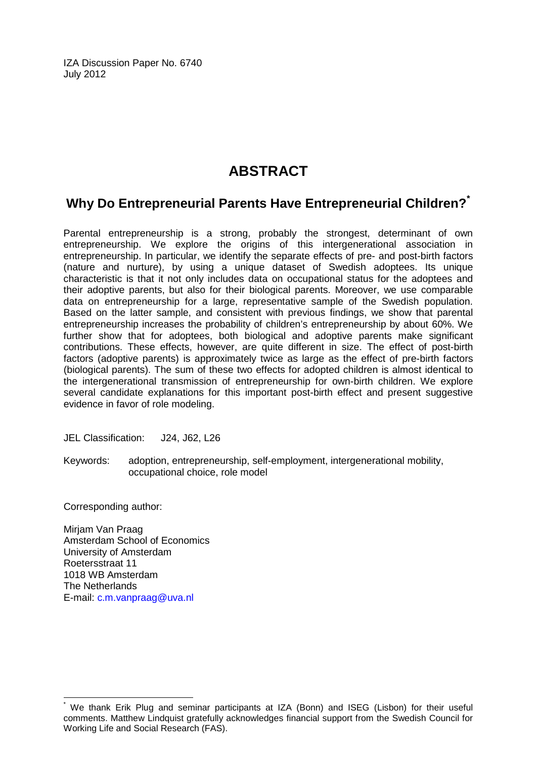IZA Discussion Paper No. 6740 July 2012

# **ABSTRACT**

# **Why Do Entrepreneurial Parents Have Entrepreneurial Children?[\\*](#page-1-0)**

Parental entrepreneurship is a strong, probably the strongest, determinant of own entrepreneurship. We explore the origins of this intergenerational association in entrepreneurship. In particular, we identify the separate effects of pre- and post-birth factors (nature and nurture), by using a unique dataset of Swedish adoptees. Its unique characteristic is that it not only includes data on occupational status for the adoptees and their adoptive parents, but also for their biological parents. Moreover, we use comparable data on entrepreneurship for a large, representative sample of the Swedish population. Based on the latter sample, and consistent with previous findings, we show that parental entrepreneurship increases the probability of children's entrepreneurship by about 60%. We further show that for adoptees, both biological and adoptive parents make significant contributions. These effects, however, are quite different in size. The effect of post-birth factors (adoptive parents) is approximately twice as large as the effect of pre-birth factors (biological parents). The sum of these two effects for adopted children is almost identical to the intergenerational transmission of entrepreneurship for own-birth children. We explore several candidate explanations for this important post-birth effect and present suggestive evidence in favor of role modeling.

JEL Classification: J24, J62, L26

Keywords: adoption, entrepreneurship, self-employment, intergenerational mobility, occupational choice, role model

Corresponding author:

Mirjam Van Praag Amsterdam School of Economics University of Amsterdam Roetersstraat 11 1018 WB Amsterdam The Netherlands E-mail: [c.m.vanpraag@uva.nl](mailto:c.m.vanpraag@uva.nl)

We thank Erik Plug and seminar participants at IZA (Bonn) and ISEG (Lisbon) for their useful comments. Matthew Lindquist gratefully acknowledges financial support from the Swedish Council for Working Life and Social Research (FAS).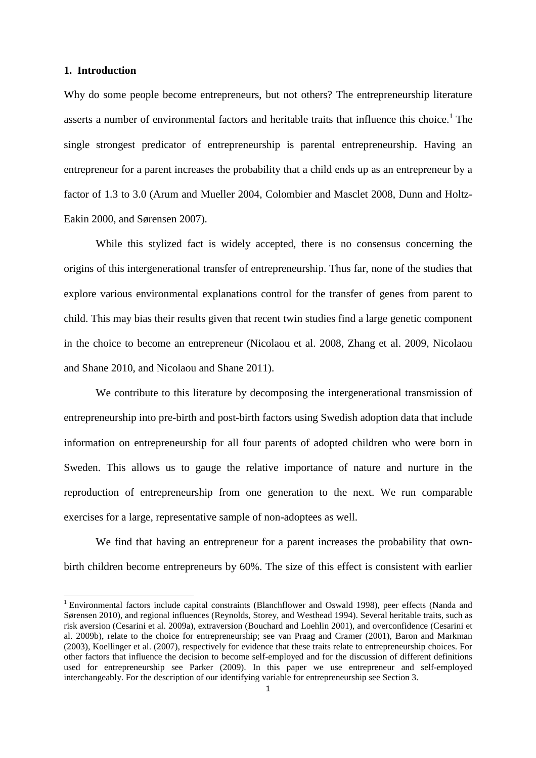#### **1. Introduction**

l

Why do some people become entrepreneurs, but not others? The entrepreneurship literature asserts a number of environmental factors and heritable traits that influence this choice.<sup>1</sup> The single strongest predicator of entrepreneurship is parental entrepreneurship. Having an entrepreneur for a parent increases the probability that a child ends up as an entrepreneur by a factor of 1.3 to 3.0 (Arum and Mueller 2004, Colombier and Masclet 2008, Dunn and Holtz-Eakin 2000, and Sørensen 2007).

While this stylized fact is widely accepted, there is no consensus concerning the origins of this intergenerational transfer of entrepreneurship. Thus far, none of the studies that explore various environmental explanations control for the transfer of genes from parent to child. This may bias their results given that recent twin studies find a large genetic component in the choice to become an entrepreneur (Nicolaou et al. 2008, Zhang et al. 2009, Nicolaou and Shane 2010, and Nicolaou and Shane 2011).

We contribute to this literature by decomposing the intergenerational transmission of entrepreneurship into pre-birth and post-birth factors using Swedish adoption data that include information on entrepreneurship for all four parents of adopted children who were born in Sweden. This allows us to gauge the relative importance of nature and nurture in the reproduction of entrepreneurship from one generation to the next. We run comparable exercises for a large, representative sample of non-adoptees as well.

We find that having an entrepreneur for a parent increases the probability that ownbirth children become entrepreneurs by 60%. The size of this effect is consistent with earlier

<sup>&</sup>lt;sup>1</sup> Environmental factors include capital constraints (Blanchflower and Oswald 1998), peer effects (Nanda and Sørensen 2010), and regional influences (Reynolds, Storey, and Westhead 1994). Several heritable traits, such as risk aversion (Cesarini et al. 2009a), extraversion (Bouchard and Loehlin 2001), and overconfidence (Cesarini et al. 2009b), relate to the choice for entrepreneurship; see van Praag and Cramer (2001), Baron and Markman (2003), Koellinger et al. (2007), respectively for evidence that these traits relate to entrepreneurship choices. For other factors that influence the decision to become self-employed and for the discussion of different definitions used for entrepreneurship see Parker (2009). In this paper we use entrepreneur and self-employed interchangeably. For the description of our identifying variable for entrepreneurship see Section 3.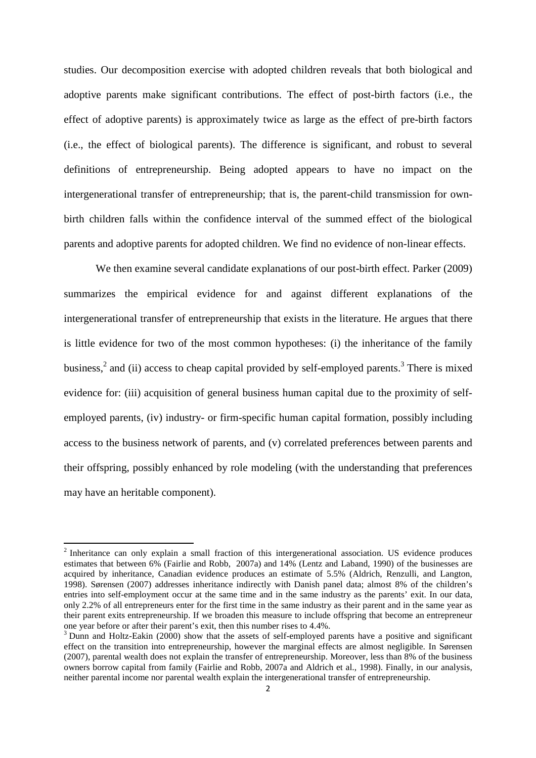studies. Our decomposition exercise with adopted children reveals that both biological and adoptive parents make significant contributions. The effect of post-birth factors (i.e., the effect of adoptive parents) is approximately twice as large as the effect of pre-birth factors (i.e., the effect of biological parents). The difference is significant, and robust to several definitions of entrepreneurship. Being adopted appears to have no impact on the intergenerational transfer of entrepreneurship; that is, the parent-child transmission for ownbirth children falls within the confidence interval of the summed effect of the biological parents and adoptive parents for adopted children. We find no evidence of non-linear effects.

We then examine several candidate explanations of our post-birth effect. Parker (2009) summarizes the empirical evidence for and against different explanations of the intergenerational transfer of entrepreneurship that exists in the literature. He argues that there is little evidence for two of the most common hypotheses: (i) the inheritance of the family business,<sup>2</sup> and (ii) access to cheap capital provided by self-employed parents.<sup>3</sup> There is mixed evidence for: (iii) acquisition of general business human capital due to the proximity of selfemployed parents, (iv) industry- or firm-specific human capital formation, possibly including access to the business network of parents, and (v) correlated preferences between parents and their offspring, possibly enhanced by role modeling (with the understanding that preferences may have an heritable component).

 $\overline{a}$ 

<sup>&</sup>lt;sup>2</sup> Inheritance can only explain a small fraction of this intergenerational association. US evidence produces estimates that between 6% (Fairlie and Robb, 2007a) and 14% (Lentz and Laband, 1990) of the businesses are acquired by inheritance, Canadian evidence produces an estimate of 5.5% (Aldrich, Renzulli, and Langton, 1998). Sørensen (2007) addresses inheritance indirectly with Danish panel data; almost 8% of the children's entries into self-employment occur at the same time and in the same industry as the parents' exit. In our data, only 2.2% of all entrepreneurs enter for the first time in the same industry as their parent and in the same year as their parent exits entrepreneurship. If we broaden this measure to include offspring that become an entrepreneur one year before or after their parent's exit, then this number rises to 4.4%.

 $3$  Dunn and Holtz-Eakin (2000) show that the assets of self-employed parents have a positive and significant effect on the transition into entrepreneurship, however the marginal effects are almost negligible. In Sørensen (2007), parental wealth does not explain the transfer of entrepreneurship. Moreover, less than 8% of the business owners borrow capital from family (Fairlie and Robb, 2007a and Aldrich et al., 1998). Finally, in our analysis, neither parental income nor parental wealth explain the intergenerational transfer of entrepreneurship.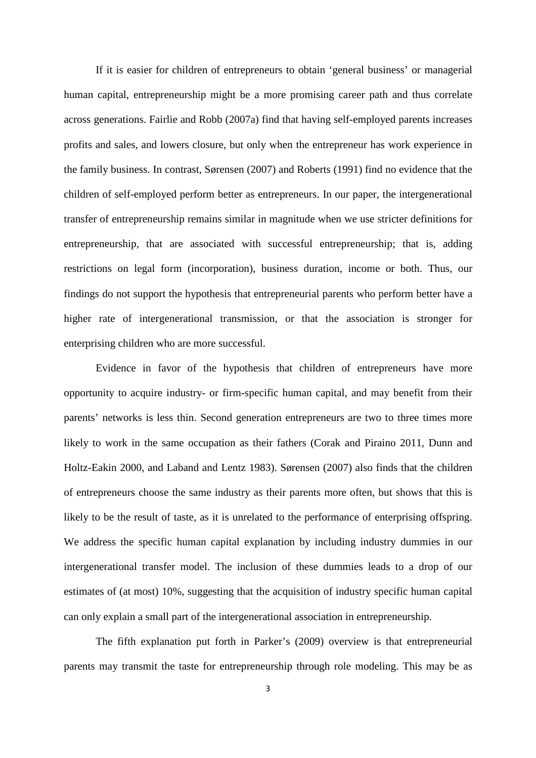If it is easier for children of entrepreneurs to obtain 'general business' or managerial human capital, entrepreneurship might be a more promising career path and thus correlate across generations. Fairlie and Robb (2007a) find that having self-employed parents increases profits and sales, and lowers closure, but only when the entrepreneur has work experience in the family business. In contrast, Sørensen (2007) and Roberts (1991) find no evidence that the children of self-employed perform better as entrepreneurs. In our paper, the intergenerational transfer of entrepreneurship remains similar in magnitude when we use stricter definitions for entrepreneurship, that are associated with successful entrepreneurship; that is, adding restrictions on legal form (incorporation), business duration, income or both. Thus, our findings do not support the hypothesis that entrepreneurial parents who perform better have a higher rate of intergenerational transmission, or that the association is stronger for enterprising children who are more successful.

Evidence in favor of the hypothesis that children of entrepreneurs have more opportunity to acquire industry- or firm-specific human capital, and may benefit from their parents' networks is less thin. Second generation entrepreneurs are two to three times more likely to work in the same occupation as their fathers (Corak and Piraino 2011, Dunn and Holtz-Eakin 2000, and Laband and Lentz 1983). Sørensen (2007) also finds that the children of entrepreneurs choose the same industry as their parents more often, but shows that this is likely to be the result of taste, as it is unrelated to the performance of enterprising offspring. We address the specific human capital explanation by including industry dummies in our intergenerational transfer model. The inclusion of these dummies leads to a drop of our estimates of (at most) 10%, suggesting that the acquisition of industry specific human capital can only explain a small part of the intergenerational association in entrepreneurship.

The fifth explanation put forth in Parker's (2009) overview is that entrepreneurial parents may transmit the taste for entrepreneurship through role modeling. This may be as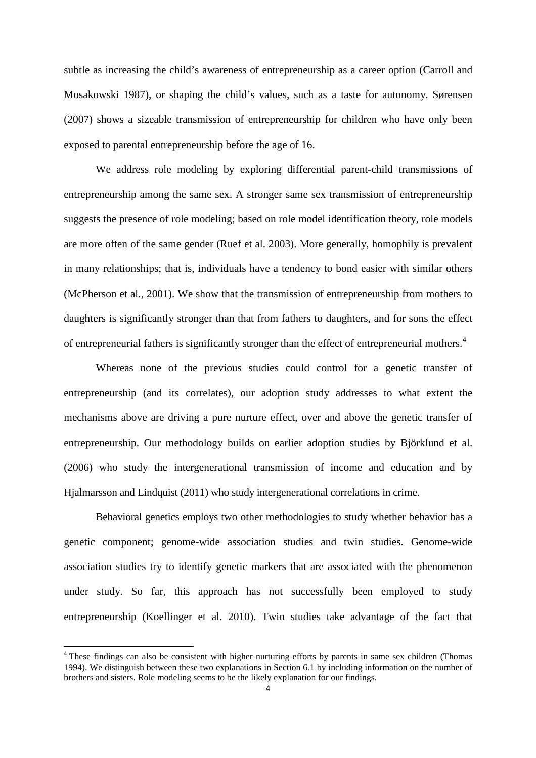subtle as increasing the child's awareness of entrepreneurship as a career option (Carroll and Mosakowski 1987), or shaping the child's values, such as a taste for autonomy. Sørensen (2007) shows a sizeable transmission of entrepreneurship for children who have only been exposed to parental entrepreneurship before the age of 16.

We address role modeling by exploring differential parent-child transmissions of entrepreneurship among the same sex. A stronger same sex transmission of entrepreneurship suggests the presence of role modeling; based on role model identification theory, role models are more often of the same gender (Ruef et al. 2003). More generally, homophily is prevalent in many relationships; that is, individuals have a tendency to bond easier with similar others (McPherson et al., 2001). We show that the transmission of entrepreneurship from mothers to daughters is significantly stronger than that from fathers to daughters, and for sons the effect of entrepreneurial fathers is significantly stronger than the effect of entrepreneurial mothers.<sup>4</sup>

Whereas none of the previous studies could control for a genetic transfer of entrepreneurship (and its correlates), our adoption study addresses to what extent the mechanisms above are driving a pure nurture effect, over and above the genetic transfer of entrepreneurship. Our methodology builds on earlier adoption studies by Björklund et al. (2006) who study the intergenerational transmission of income and education and by Hjalmarsson and Lindquist (2011) who study intergenerational correlations in crime.

Behavioral genetics employs two other methodologies to study whether behavior has a genetic component; genome-wide association studies and twin studies. Genome-wide association studies try to identify genetic markers that are associated with the phenomenon under study. So far, this approach has not successfully been employed to study entrepreneurship (Koellinger et al. 2010). Twin studies take advantage of the fact that

<sup>&</sup>lt;sup>4</sup> These findings can also be consistent with higher nurturing efforts by parents in same sex children (Thomas 1994). We distinguish between these two explanations in Section 6.1 by including information on the number of brothers and sisters. Role modeling seems to be the likely explanation for our findings.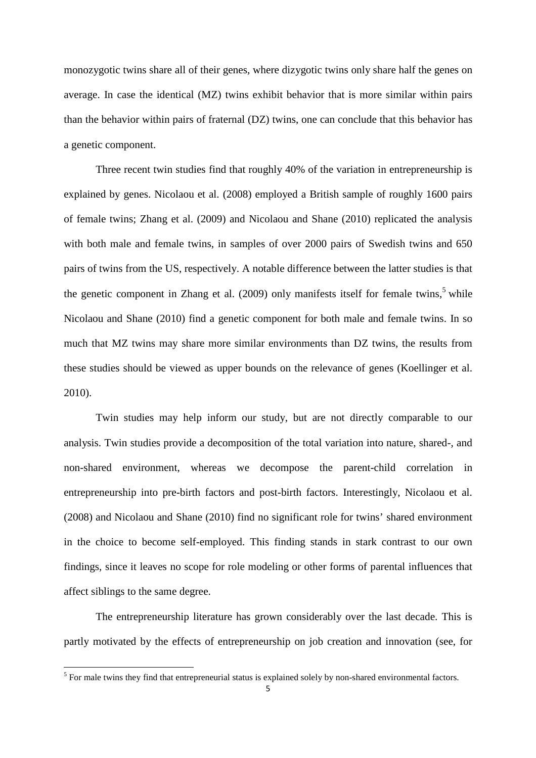monozygotic twins share all of their genes, where dizygotic twins only share half the genes on average. In case the identical (MZ) twins exhibit behavior that is more similar within pairs than the behavior within pairs of fraternal (DZ) twins, one can conclude that this behavior has a genetic component.

Three recent twin studies find that roughly 40% of the variation in entrepreneurship is explained by genes. Nicolaou et al. (2008) employed a British sample of roughly 1600 pairs of female twins; Zhang et al. (2009) and Nicolaou and Shane (2010) replicated the analysis with both male and female twins, in samples of over 2000 pairs of Swedish twins and 650 pairs of twins from the US, respectively. A notable difference between the latter studies is that the genetic component in Zhang et al.  $(2009)$  only manifests itself for female twins,<sup>5</sup> while Nicolaou and Shane (2010) find a genetic component for both male and female twins. In so much that MZ twins may share more similar environments than DZ twins, the results from these studies should be viewed as upper bounds on the relevance of genes (Koellinger et al. 2010).

Twin studies may help inform our study, but are not directly comparable to our analysis. Twin studies provide a decomposition of the total variation into nature, shared-, and non-shared environment, whereas we decompose the parent-child correlation in entrepreneurship into pre-birth factors and post-birth factors. Interestingly, Nicolaou et al. (2008) and Nicolaou and Shane (2010) find no significant role for twins' shared environment in the choice to become self-employed. This finding stands in stark contrast to our own findings, since it leaves no scope for role modeling or other forms of parental influences that affect siblings to the same degree.

The entrepreneurship literature has grown considerably over the last decade. This is partly motivated by the effects of entrepreneurship on job creation and innovation (see, for

 $\overline{a}$ 

 $<sup>5</sup>$  For male twins they find that entrepreneurial status is explained solely by non-shared environmental factors.</sup>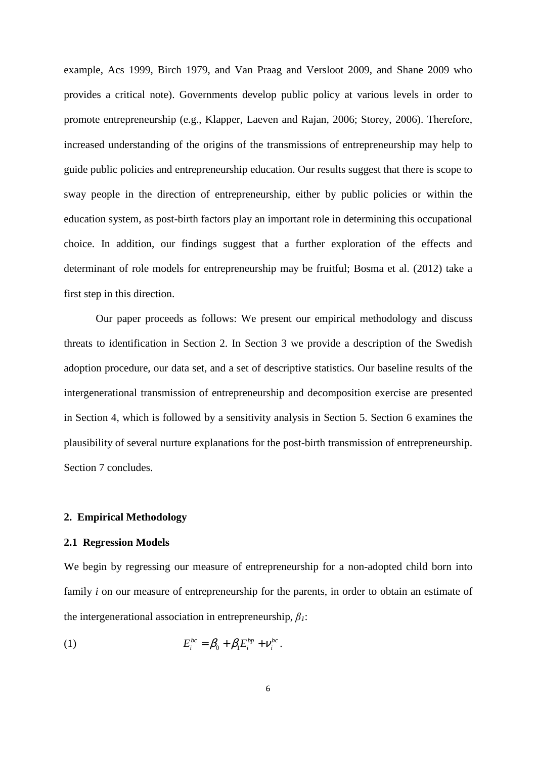example, Acs 1999, Birch 1979, and Van Praag and Versloot 2009, and Shane 2009 who provides a critical note). Governments develop public policy at various levels in order to promote entrepreneurship (e.g., Klapper, Laeven and Rajan, 2006; Storey, 2006). Therefore, increased understanding of the origins of the transmissions of entrepreneurship may help to guide public policies and entrepreneurship education. Our results suggest that there is scope to sway people in the direction of entrepreneurship, either by public policies or within the education system, as post-birth factors play an important role in determining this occupational choice. In addition, our findings suggest that a further exploration of the effects and determinant of role models for entrepreneurship may be fruitful; Bosma et al. (2012) take a first step in this direction.

Our paper proceeds as follows: We present our empirical methodology and discuss threats to identification in Section 2. In Section 3 we provide a description of the Swedish adoption procedure, our data set, and a set of descriptive statistics. Our baseline results of the intergenerational transmission of entrepreneurship and decomposition exercise are presented in Section 4, which is followed by a sensitivity analysis in Section 5. Section 6 examines the plausibility of several nurture explanations for the post-birth transmission of entrepreneurship. Section 7 concludes.

#### **2. Empirical Methodology**

#### **2.1 Regression Models**

We begin by regressing our measure of entrepreneurship for a non-adopted child born into family *i* on our measure of entrepreneurship for the parents, in order to obtain an estimate of the intergenerational association in entrepreneurship, *β1*:

(1) 
$$
E_i^{bc} = \beta_0 + \beta_1 E_i^{bp} + V_i^{bc}.
$$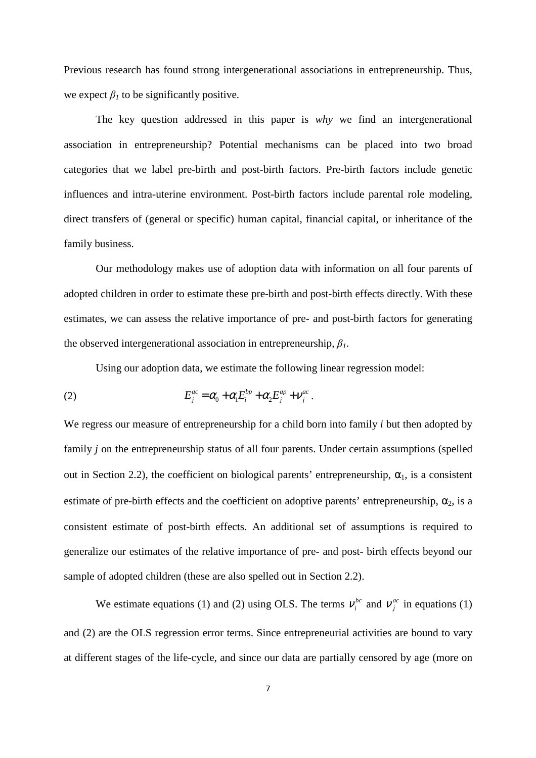Previous research has found strong intergenerational associations in entrepreneurship. Thus, we expect  $\beta$ <sup>*I*</sup> to be significantly positive.

The key question addressed in this paper is *why* we find an intergenerational association in entrepreneurship? Potential mechanisms can be placed into two broad categories that we label pre-birth and post-birth factors. Pre-birth factors include genetic influences and intra-uterine environment. Post-birth factors include parental role modeling, direct transfers of (general or specific) human capital, financial capital, or inheritance of the family business.

Our methodology makes use of adoption data with information on all four parents of adopted children in order to estimate these pre-birth and post-birth effects directly. With these estimates, we can assess the relative importance of pre- and post-birth factors for generating the observed intergenerational association in entrepreneurship, *β1*.

Using our adoption data, we estimate the following linear regression model:

(2) 
$$
E_j^{ac} = \alpha_0 + \alpha_1 E_i^{bp} + \alpha_2 E_j^{ap} + V_j^{ac}.
$$

We regress our measure of entrepreneurship for a child born into family *i* but then adopted by family *j* on the entrepreneurship status of all four parents. Under certain assumptions (spelled out in Section 2.2), the coefficient on biological parents' entrepreneurship,  $\alpha_1$ , is a consistent estimate of pre-birth effects and the coefficient on adoptive parents' entrepreneurship,  $\alpha_2$ , is a consistent estimate of post-birth effects. An additional set of assumptions is required to generalize our estimates of the relative importance of pre- and post- birth effects beyond our sample of adopted children (these are also spelled out in Section 2.2).

We estimate equations (1) and (2) using OLS. The terms  $v_i^{bc}$  and  $v_j^{ac}$  in equations (1) and (2) are the OLS regression error terms. Since entrepreneurial activities are bound to vary at different stages of the life-cycle, and since our data are partially censored by age (more on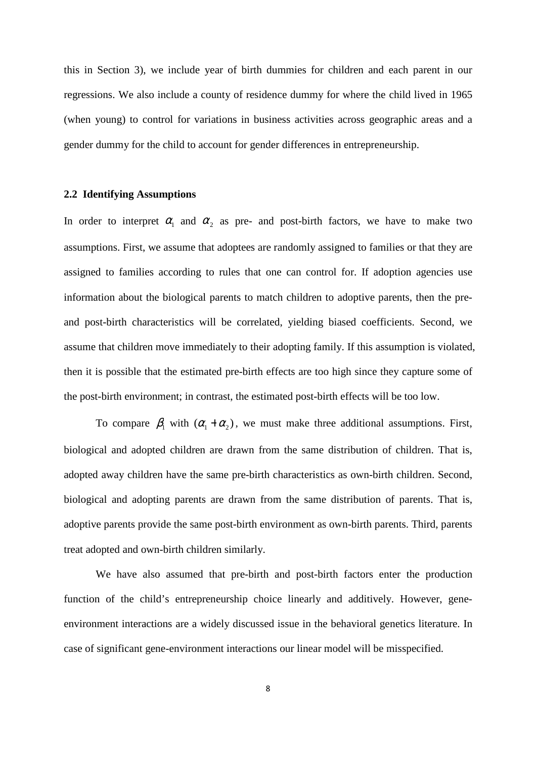this in Section 3), we include year of birth dummies for children and each parent in our regressions. We also include a county of residence dummy for where the child lived in 1965 (when young) to control for variations in business activities across geographic areas and a gender dummy for the child to account for gender differences in entrepreneurship.

#### **2.2 Identifying Assumptions**

In order to interpret  $\alpha_1$  and  $\alpha_2$  as pre- and post-birth factors, we have to make two assumptions. First, we assume that adoptees are randomly assigned to families or that they are assigned to families according to rules that one can control for. If adoption agencies use information about the biological parents to match children to adoptive parents, then the preand post-birth characteristics will be correlated, yielding biased coefficients. Second, we assume that children move immediately to their adopting family. If this assumption is violated, then it is possible that the estimated pre-birth effects are too high since they capture some of the post-birth environment; in contrast, the estimated post-birth effects will be too low.

To compare  $\beta_1$  with  $(\alpha_1 + \alpha_2)$ , we must make three additional assumptions. First, biological and adopted children are drawn from the same distribution of children. That is, adopted away children have the same pre-birth characteristics as own-birth children. Second, biological and adopting parents are drawn from the same distribution of parents. That is, adoptive parents provide the same post-birth environment as own-birth parents. Third, parents treat adopted and own-birth children similarly.

We have also assumed that pre-birth and post-birth factors enter the production function of the child's entrepreneurship choice linearly and additively. However, geneenvironment interactions are a widely discussed issue in the behavioral genetics literature. In case of significant gene-environment interactions our linear model will be misspecified.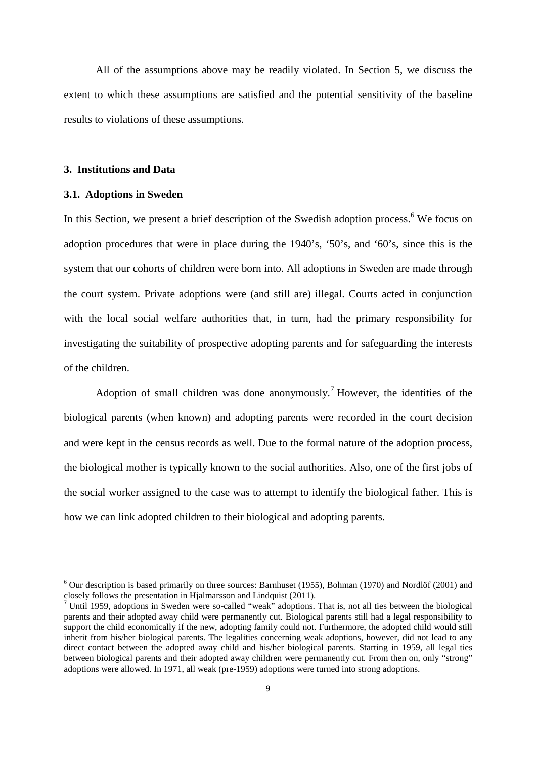All of the assumptions above may be readily violated. In Section 5, we discuss the extent to which these assumptions are satisfied and the potential sensitivity of the baseline results to violations of these assumptions.

#### **3. Institutions and Data**

#### **3.1. Adoptions in Sweden**

 $\overline{a}$ 

In this Section, we present a brief description of the Swedish adoption process.<sup>6</sup> We focus on adoption procedures that were in place during the 1940's, '50's, and '60's, since this is the system that our cohorts of children were born into. All adoptions in Sweden are made through the court system. Private adoptions were (and still are) illegal. Courts acted in conjunction with the local social welfare authorities that, in turn, had the primary responsibility for investigating the suitability of prospective adopting parents and for safeguarding the interests of the children.

Adoption of small children was done anonymously.<sup>7</sup> However, the identities of the biological parents (when known) and adopting parents were recorded in the court decision and were kept in the census records as well. Due to the formal nature of the adoption process, the biological mother is typically known to the social authorities. Also, one of the first jobs of the social worker assigned to the case was to attempt to identify the biological father. This is how we can link adopted children to their biological and adopting parents.

<sup>&</sup>lt;sup>6</sup> Our description is based primarily on three sources: Barnhuset (1955), Bohman (1970) and Nordlöf (2001) and closely follows the presentation in Hjalmarsson and Lindquist (2011).

<sup>&</sup>lt;sup>7</sup> Until 1959, adoptions in Sweden were so-called "weak" adoptions. That is, not all ties between the biological parents and their adopted away child were permanently cut. Biological parents still had a legal responsibility to support the child economically if the new, adopting family could not. Furthermore, the adopted child would still inherit from his/her biological parents. The legalities concerning weak adoptions, however, did not lead to any direct contact between the adopted away child and his/her biological parents. Starting in 1959, all legal ties between biological parents and their adopted away children were permanently cut. From then on, only "strong" adoptions were allowed. In 1971, all weak (pre-1959) adoptions were turned into strong adoptions.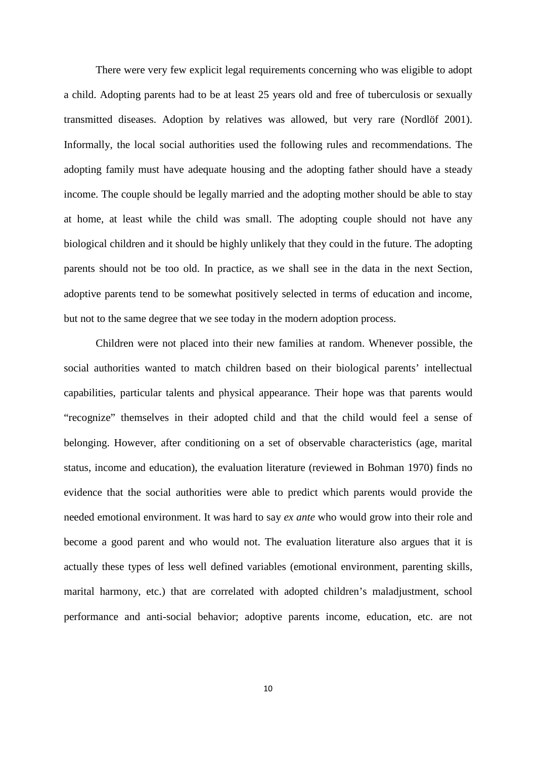There were very few explicit legal requirements concerning who was eligible to adopt a child. Adopting parents had to be at least 25 years old and free of tuberculosis or sexually transmitted diseases. Adoption by relatives was allowed, but very rare (Nordlöf 2001). Informally, the local social authorities used the following rules and recommendations. The adopting family must have adequate housing and the adopting father should have a steady income. The couple should be legally married and the adopting mother should be able to stay at home, at least while the child was small. The adopting couple should not have any biological children and it should be highly unlikely that they could in the future. The adopting parents should not be too old. In practice, as we shall see in the data in the next Section, adoptive parents tend to be somewhat positively selected in terms of education and income, but not to the same degree that we see today in the modern adoption process.

Children were not placed into their new families at random. Whenever possible, the social authorities wanted to match children based on their biological parents' intellectual capabilities, particular talents and physical appearance. Their hope was that parents would "recognize" themselves in their adopted child and that the child would feel a sense of belonging. However, after conditioning on a set of observable characteristics (age, marital status, income and education), the evaluation literature (reviewed in Bohman 1970) finds no evidence that the social authorities were able to predict which parents would provide the needed emotional environment. It was hard to say *ex ante* who would grow into their role and become a good parent and who would not. The evaluation literature also argues that it is actually these types of less well defined variables (emotional environment, parenting skills, marital harmony, etc.) that are correlated with adopted children's maladjustment, school performance and anti-social behavior; adoptive parents income, education, etc. are not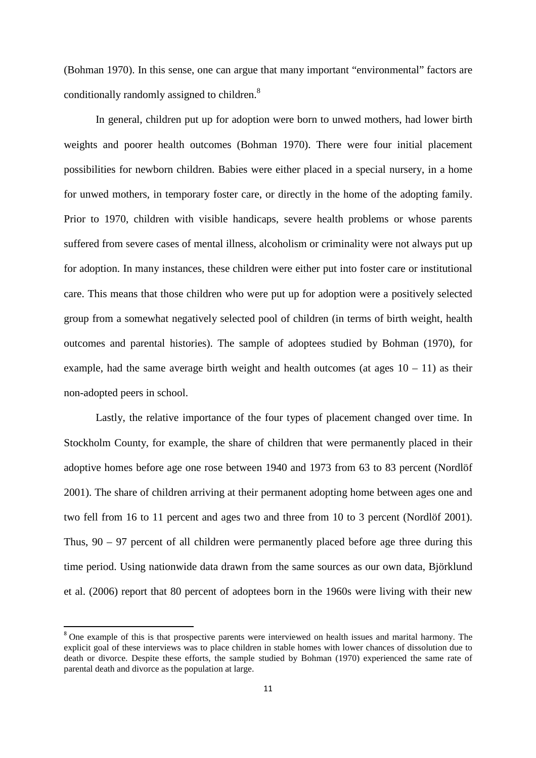(Bohman 1970). In this sense, one can argue that many important "environmental" factors are conditionally randomly assigned to children.<sup>8</sup>

In general, children put up for adoption were born to unwed mothers, had lower birth weights and poorer health outcomes (Bohman 1970). There were four initial placement possibilities for newborn children. Babies were either placed in a special nursery, in a home for unwed mothers, in temporary foster care, or directly in the home of the adopting family. Prior to 1970, children with visible handicaps, severe health problems or whose parents suffered from severe cases of mental illness, alcoholism or criminality were not always put up for adoption. In many instances, these children were either put into foster care or institutional care. This means that those children who were put up for adoption were a positively selected group from a somewhat negatively selected pool of children (in terms of birth weight, health outcomes and parental histories). The sample of adoptees studied by Bohman (1970), for example, had the same average birth weight and health outcomes (at ages  $10 - 11$ ) as their non-adopted peers in school.

Lastly, the relative importance of the four types of placement changed over time. In Stockholm County, for example, the share of children that were permanently placed in their adoptive homes before age one rose between 1940 and 1973 from 63 to 83 percent (Nordlöf 2001). The share of children arriving at their permanent adopting home between ages one and two fell from 16 to 11 percent and ages two and three from 10 to 3 percent (Nordlöf 2001). Thus, 90 – 97 percent of all children were permanently placed before age three during this time period. Using nationwide data drawn from the same sources as our own data, Björklund et al. (2006) report that 80 percent of adoptees born in the 1960s were living with their new

<sup>&</sup>lt;sup>8</sup> One example of this is that prospective parents were interviewed on health issues and marital harmony. The explicit goal of these interviews was to place children in stable homes with lower chances of dissolution due to death or divorce. Despite these efforts, the sample studied by Bohman (1970) experienced the same rate of parental death and divorce as the population at large.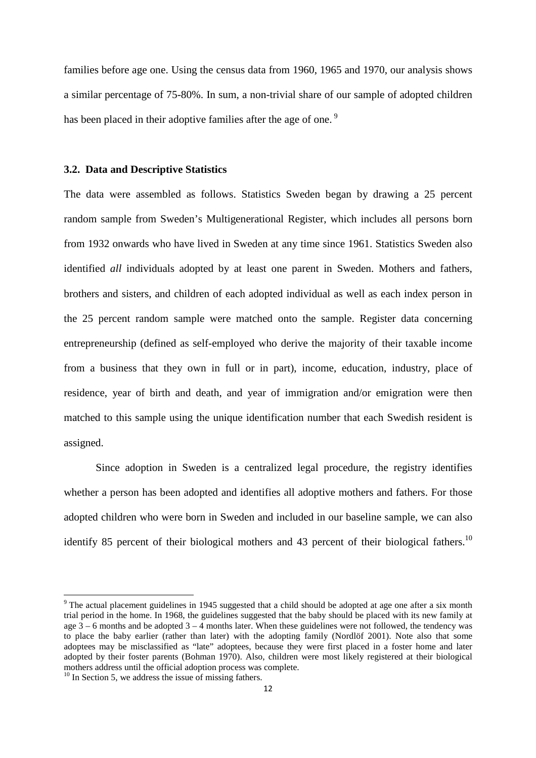families before age one. Using the census data from 1960, 1965 and 1970, our analysis shows a similar percentage of 75-80%. In sum, a non-trivial share of our sample of adopted children has been placed in their adoptive families after the age of one.<sup>9</sup>

#### **3.2. Data and Descriptive Statistics**

The data were assembled as follows. Statistics Sweden began by drawing a 25 percent random sample from Sweden's Multigenerational Register, which includes all persons born from 1932 onwards who have lived in Sweden at any time since 1961. Statistics Sweden also identified *all* individuals adopted by at least one parent in Sweden. Mothers and fathers, brothers and sisters, and children of each adopted individual as well as each index person in the 25 percent random sample were matched onto the sample. Register data concerning entrepreneurship (defined as self-employed who derive the majority of their taxable income from a business that they own in full or in part), income, education, industry, place of residence, year of birth and death, and year of immigration and/or emigration were then matched to this sample using the unique identification number that each Swedish resident is assigned.

Since adoption in Sweden is a centralized legal procedure, the registry identifies whether a person has been adopted and identifies all adoptive mothers and fathers. For those adopted children who were born in Sweden and included in our baseline sample, we can also identify 85 percent of their biological mothers and 43 percent of their biological fathers.<sup>10</sup>

 $9$  The actual placement guidelines in 1945 suggested that a child should be adopted at age one after a six month trial period in the home. In 1968, the guidelines suggested that the baby should be placed with its new family at age  $3 - 6$  months and be adopted  $3 - 4$  months later. When these guidelines were not followed, the tendency was to place the baby earlier (rather than later) with the adopting family (Nordlöf 2001). Note also that some adoptees may be misclassified as "late" adoptees, because they were first placed in a foster home and later adopted by their foster parents (Bohman 1970). Also, children were most likely registered at their biological mothers address until the official adoption process was complete.

 $10$  In Section 5, we address the issue of missing fathers.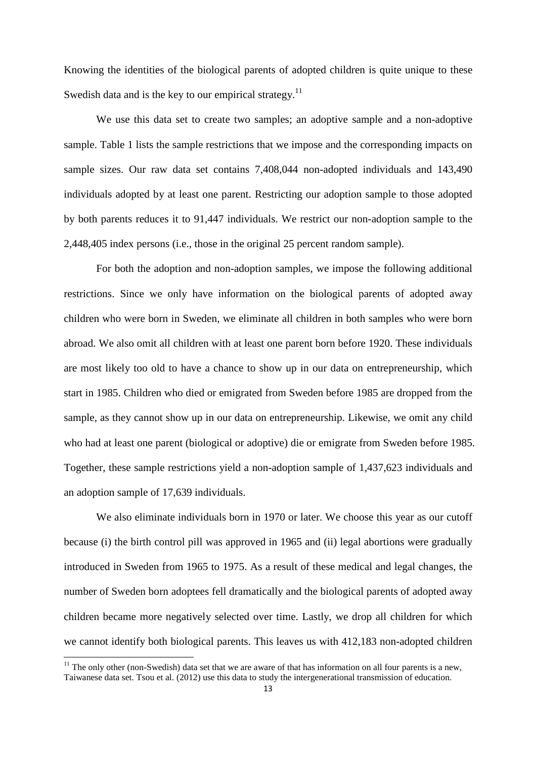Knowing the identities of the biological parents of adopted children is quite unique to these Swedish data and is the key to our empirical strategy.<sup>11</sup>

We use this data set to create two samples; an adoptive sample and a non-adoptive sample. Table 1 lists the sample restrictions that we impose and the corresponding impacts on sample sizes. Our raw data set contains 7,408,044 non-adopted individuals and 143,490 individuals adopted by at least one parent. Restricting our adoption sample to those adopted by both parents reduces it to 91,447 individuals. We restrict our non-adoption sample to the 2,448,405 index persons (i.e., those in the original 25 percent random sample).

For both the adoption and non-adoption samples, we impose the following additional restrictions. Since we only have information on the biological parents of adopted away children who were born in Sweden, we eliminate all children in both samples who were born abroad. We also omit all children with at least one parent born before 1920. These individuals are most likely too old to have a chance to show up in our data on entrepreneurship, which start in 1985. Children who died or emigrated from Sweden before 1985 are dropped from the sample, as they cannot show up in our data on entrepreneurship. Likewise, we omit any child who had at least one parent (biological or adoptive) die or emigrate from Sweden before 1985. Together, these sample restrictions yield a non-adoption sample of 1,437,623 individuals and an adoption sample of 17,639 individuals.

We also eliminate individuals born in 1970 or later. We choose this year as our cutoff because (i) the birth control pill was approved in 1965 and (ii) legal abortions were gradually introduced in Sweden from 1965 to 1975. As a result of these medical and legal changes, the number of Sweden born adoptees fell dramatically and the biological parents of adopted away children became more negatively selected over time. Lastly, we drop all children for which we cannot identify both biological parents. This leaves us with 412,183 non-adopted children

<sup>&</sup>lt;sup>11</sup> The only other (non-Swedish) data set that we are aware of that has information on all four parents is a new, Taiwanese data set. Tsou et al. (2012) use this data to study the intergenerational transmission of education.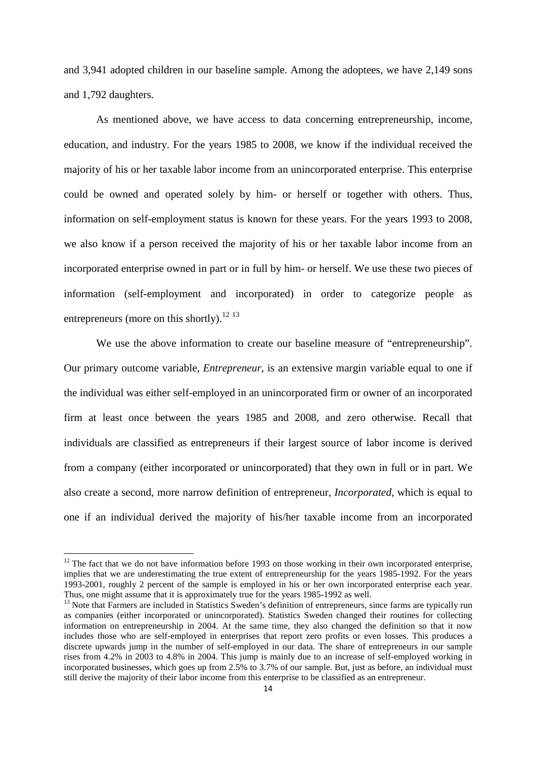and 3,941 adopted children in our baseline sample. Among the adoptees, we have 2,149 sons and 1,792 daughters.

As mentioned above, we have access to data concerning entrepreneurship, income, education, and industry. For the years 1985 to 2008, we know if the individual received the majority of his or her taxable labor income from an unincorporated enterprise. This enterprise could be owned and operated solely by him- or herself or together with others. Thus, information on self-employment status is known for these years. For the years 1993 to 2008, we also know if a person received the majority of his or her taxable labor income from an incorporated enterprise owned in part or in full by him- or herself. We use these two pieces of information (self-employment and incorporated) in order to categorize people as entrepreneurs (more on this shortly).<sup>12 13</sup>

We use the above information to create our baseline measure of "entrepreneurship". Our primary outcome variable, *Entrepreneur*, is an extensive margin variable equal to one if the individual was either self-employed in an unincorporated firm or owner of an incorporated firm at least once between the years 1985 and 2008, and zero otherwise. Recall that individuals are classified as entrepreneurs if their largest source of labor income is derived from a company (either incorporated or unincorporated) that they own in full or in part. We also create a second, more narrow definition of entrepreneur, *Incorporated*, which is equal to one if an individual derived the majority of his/her taxable income from an incorporated

<sup>&</sup>lt;sup>12</sup> The fact that we do not have information before 1993 on those working in their own incorporated enterprise, implies that we are underestimating the true extent of entrepreneurship for the years 1985-1992. For the years 1993-2001, roughly 2 percent of the sample is employed in his or her own incorporated enterprise each year. Thus, one might assume that it is approximately true for the years 1985-1992 as well.

<sup>&</sup>lt;sup>13</sup> Note that Farmers are included in Statistics Sweden's definition of entrepreneurs, since farms are typically run as companies (either incorporated or unincorporated). Statistics Sweden changed their routines for collecting information on entrepreneurship in 2004. At the same time, they also changed the definition so that it now includes those who are self-employed in enterprises that report zero profits or even losses. This produces a discrete upwards jump in the number of self-employed in our data. The share of entrepreneurs in our sample rises from 4.2% in 2003 to 4.8% in 2004. This jump is mainly due to an increase of self-employed working in incorporated businesses, which goes up from 2.5% to 3.7% of our sample. But, just as before, an individual must still derive the majority of their labor income from this enterprise to be classified as an entrepreneur.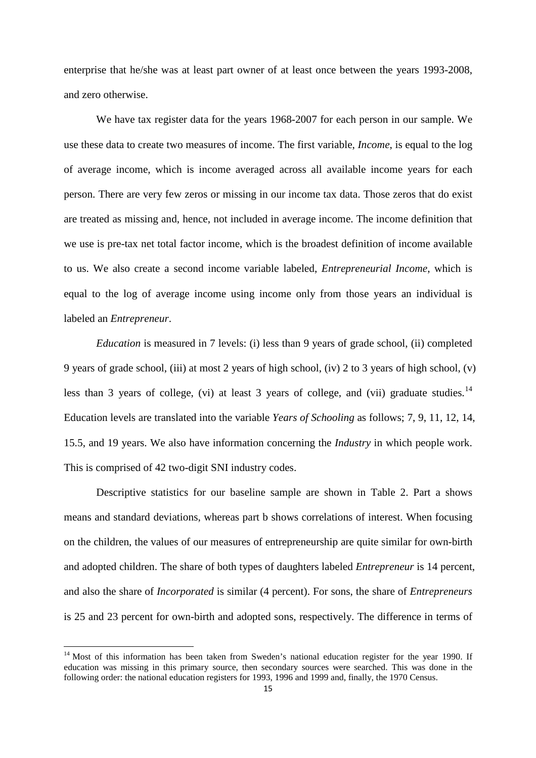enterprise that he/she was at least part owner of at least once between the years 1993-2008, and zero otherwise.

We have tax register data for the years 1968-2007 for each person in our sample. We use these data to create two measures of income. The first variable, *Income*, is equal to the log of average income, which is income averaged across all available income years for each person. There are very few zeros or missing in our income tax data. Those zeros that do exist are treated as missing and, hence, not included in average income. The income definition that we use is pre-tax net total factor income, which is the broadest definition of income available to us. We also create a second income variable labeled, *Entrepreneurial Income*, which is equal to the log of average income using income only from those years an individual is labeled an *Entrepreneur*.

*Education* is measured in 7 levels: (i) less than 9 years of grade school, (ii) completed 9 years of grade school, (iii) at most 2 years of high school, (iv) 2 to 3 years of high school, (v) less than 3 years of college, (vi) at least 3 years of college, and (vii) graduate studies.<sup>14</sup> Education levels are translated into the variable *Years of Schooling* as follows; 7, 9, 11, 12, 14, 15.5, and 19 years. We also have information concerning the *Industry* in which people work. This is comprised of 42 two-digit SNI industry codes.

Descriptive statistics for our baseline sample are shown in Table 2. Part a shows means and standard deviations, whereas part b shows correlations of interest. When focusing on the children, the values of our measures of entrepreneurship are quite similar for own-birth and adopted children. The share of both types of daughters labeled *Entrepreneur* is 14 percent, and also the share of *Incorporated* is similar (4 percent). For sons, the share of *Entrepreneurs* is 25 and 23 percent for own-birth and adopted sons, respectively. The difference in terms of

<sup>&</sup>lt;sup>14</sup> Most of this information has been taken from Sweden's national education register for the year 1990. If education was missing in this primary source, then secondary sources were searched. This was done in the following order: the national education registers for 1993, 1996 and 1999 and, finally, the 1970 Census.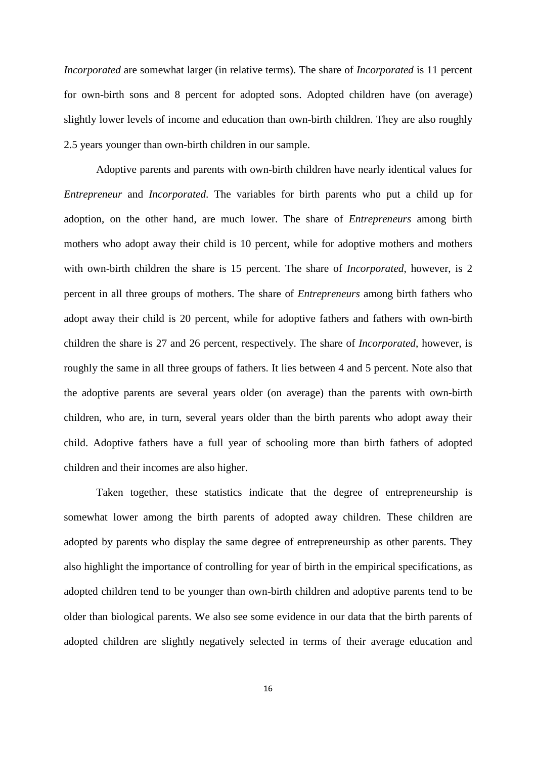*Incorporated* are somewhat larger (in relative terms). The share of *Incorporated* is 11 percent for own-birth sons and 8 percent for adopted sons. Adopted children have (on average) slightly lower levels of income and education than own-birth children. They are also roughly 2.5 years younger than own-birth children in our sample.

Adoptive parents and parents with own-birth children have nearly identical values for *Entrepreneur* and *Incorporated*. The variables for birth parents who put a child up for adoption, on the other hand, are much lower. The share of *Entrepreneurs* among birth mothers who adopt away their child is 10 percent, while for adoptive mothers and mothers with own-birth children the share is 15 percent. The share of *Incorporated*, however, is 2 percent in all three groups of mothers. The share of *Entrepreneurs* among birth fathers who adopt away their child is 20 percent, while for adoptive fathers and fathers with own-birth children the share is 27 and 26 percent, respectively. The share of *Incorporated*, however, is roughly the same in all three groups of fathers. It lies between 4 and 5 percent. Note also that the adoptive parents are several years older (on average) than the parents with own-birth children, who are, in turn, several years older than the birth parents who adopt away their child. Adoptive fathers have a full year of schooling more than birth fathers of adopted children and their incomes are also higher.

Taken together, these statistics indicate that the degree of entrepreneurship is somewhat lower among the birth parents of adopted away children. These children are adopted by parents who display the same degree of entrepreneurship as other parents. They also highlight the importance of controlling for year of birth in the empirical specifications, as adopted children tend to be younger than own-birth children and adoptive parents tend to be older than biological parents. We also see some evidence in our data that the birth parents of adopted children are slightly negatively selected in terms of their average education and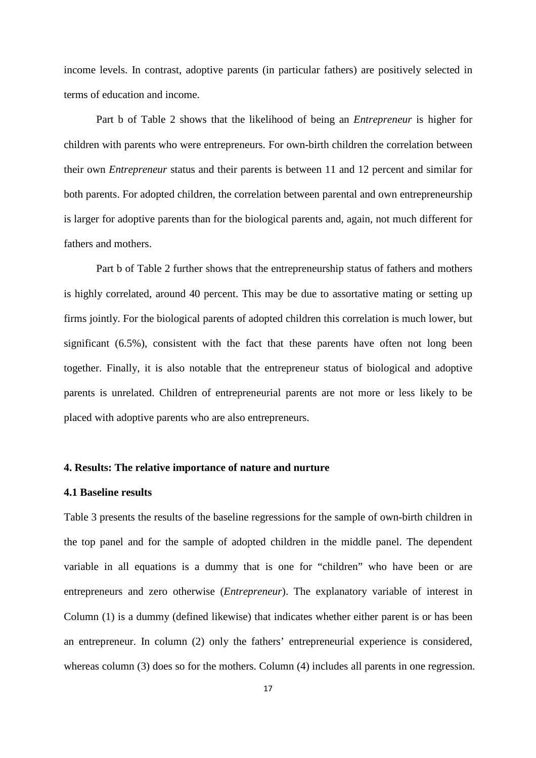income levels. In contrast, adoptive parents (in particular fathers) are positively selected in terms of education and income.

Part b of Table 2 shows that the likelihood of being an *Entrepreneur* is higher for children with parents who were entrepreneurs. For own-birth children the correlation between their own *Entrepreneur* status and their parents is between 11 and 12 percent and similar for both parents. For adopted children, the correlation between parental and own entrepreneurship is larger for adoptive parents than for the biological parents and, again, not much different for fathers and mothers.

Part b of Table 2 further shows that the entrepreneurship status of fathers and mothers is highly correlated, around 40 percent. This may be due to assortative mating or setting up firms jointly. For the biological parents of adopted children this correlation is much lower, but significant (6.5%), consistent with the fact that these parents have often not long been together. Finally, it is also notable that the entrepreneur status of biological and adoptive parents is unrelated. Children of entrepreneurial parents are not more or less likely to be placed with adoptive parents who are also entrepreneurs.

#### **4. Results: The relative importance of nature and nurture**

#### **4.1 Baseline results**

Table 3 presents the results of the baseline regressions for the sample of own-birth children in the top panel and for the sample of adopted children in the middle panel. The dependent variable in all equations is a dummy that is one for "children" who have been or are entrepreneurs and zero otherwise (*Entrepreneur*). The explanatory variable of interest in Column (1) is a dummy (defined likewise) that indicates whether either parent is or has been an entrepreneur. In column (2) only the fathers' entrepreneurial experience is considered, whereas column (3) does so for the mothers. Column (4) includes all parents in one regression.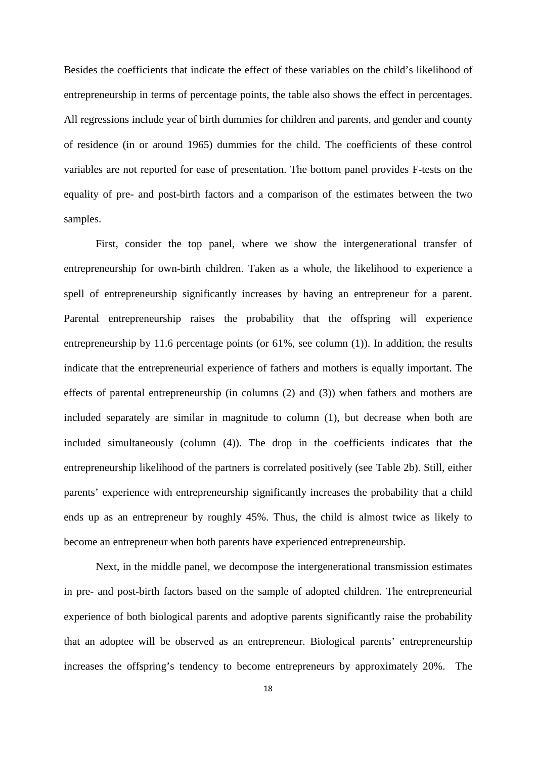Besides the coefficients that indicate the effect of these variables on the child's likelihood of entrepreneurship in terms of percentage points, the table also shows the effect in percentages. All regressions include year of birth dummies for children and parents, and gender and county of residence (in or around 1965) dummies for the child. The coefficients of these control variables are not reported for ease of presentation. The bottom panel provides F-tests on the equality of pre- and post-birth factors and a comparison of the estimates between the two samples.

 First, consider the top panel, where we show the intergenerational transfer of entrepreneurship for own-birth children. Taken as a whole, the likelihood to experience a spell of entrepreneurship significantly increases by having an entrepreneur for a parent. Parental entrepreneurship raises the probability that the offspring will experience entrepreneurship by 11.6 percentage points (or 61%, see column (1)). In addition, the results indicate that the entrepreneurial experience of fathers and mothers is equally important. The effects of parental entrepreneurship (in columns (2) and (3)) when fathers and mothers are included separately are similar in magnitude to column (1), but decrease when both are included simultaneously (column (4)). The drop in the coefficients indicates that the entrepreneurship likelihood of the partners is correlated positively (see Table 2b). Still, either parents' experience with entrepreneurship significantly increases the probability that a child ends up as an entrepreneur by roughly 45%. Thus, the child is almost twice as likely to become an entrepreneur when both parents have experienced entrepreneurship.

 Next, in the middle panel, we decompose the intergenerational transmission estimates in pre- and post-birth factors based on the sample of adopted children. The entrepreneurial experience of both biological parents and adoptive parents significantly raise the probability that an adoptee will be observed as an entrepreneur. Biological parents' entrepreneurship increases the offspring's tendency to become entrepreneurs by approximately 20%. The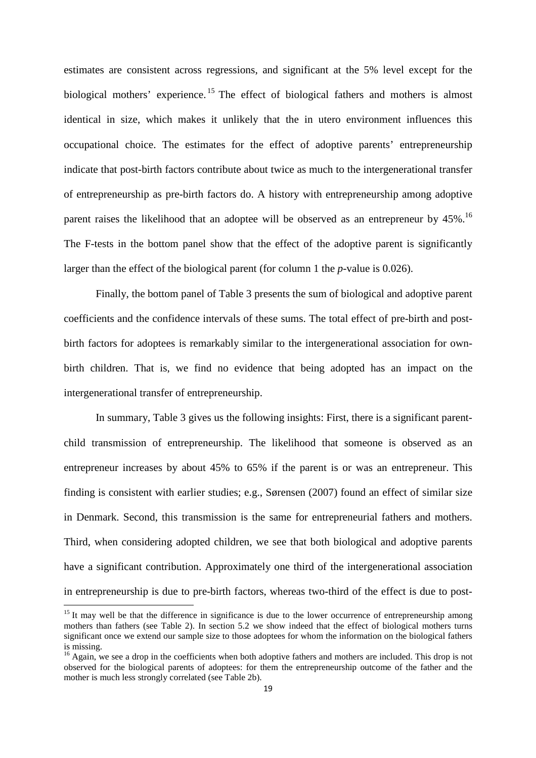estimates are consistent across regressions, and significant at the 5% level except for the biological mothers' experience.<sup>15</sup> The effect of biological fathers and mothers is almost identical in size, which makes it unlikely that the in utero environment influences this occupational choice. The estimates for the effect of adoptive parents' entrepreneurship indicate that post-birth factors contribute about twice as much to the intergenerational transfer of entrepreneurship as pre-birth factors do. A history with entrepreneurship among adoptive parent raises the likelihood that an adoptee will be observed as an entrepreneur by  $45\%$ .<sup>16</sup> The F-tests in the bottom panel show that the effect of the adoptive parent is significantly larger than the effect of the biological parent (for column 1 the *p*-value is 0.026).

 Finally, the bottom panel of Table 3 presents the sum of biological and adoptive parent coefficients and the confidence intervals of these sums. The total effect of pre-birth and postbirth factors for adoptees is remarkably similar to the intergenerational association for ownbirth children. That is, we find no evidence that being adopted has an impact on the intergenerational transfer of entrepreneurship.

 In summary, Table 3 gives us the following insights: First, there is a significant parentchild transmission of entrepreneurship. The likelihood that someone is observed as an entrepreneur increases by about 45% to 65% if the parent is or was an entrepreneur. This finding is consistent with earlier studies; e.g., Sørensen (2007) found an effect of similar size in Denmark. Second, this transmission is the same for entrepreneurial fathers and mothers. Third, when considering adopted children, we see that both biological and adoptive parents have a significant contribution. Approximately one third of the intergenerational association in entrepreneurship is due to pre-birth factors, whereas two-third of the effect is due to post-  $\overline{a}$ 

<sup>&</sup>lt;sup>15</sup> It may well be that the difference in significance is due to the lower occurrence of entrepreneurship among mothers than fathers (see Table 2). In section 5.2 we show indeed that the effect of biological mothers turns significant once we extend our sample size to those adoptees for whom the information on the biological fathers is missing.

<sup>&</sup>lt;sup>16</sup> Again, we see a drop in the coefficients when both adoptive fathers and mothers are included. This drop is not observed for the biological parents of adoptees: for them the entrepreneurship outcome of the father and the mother is much less strongly correlated (see Table 2b).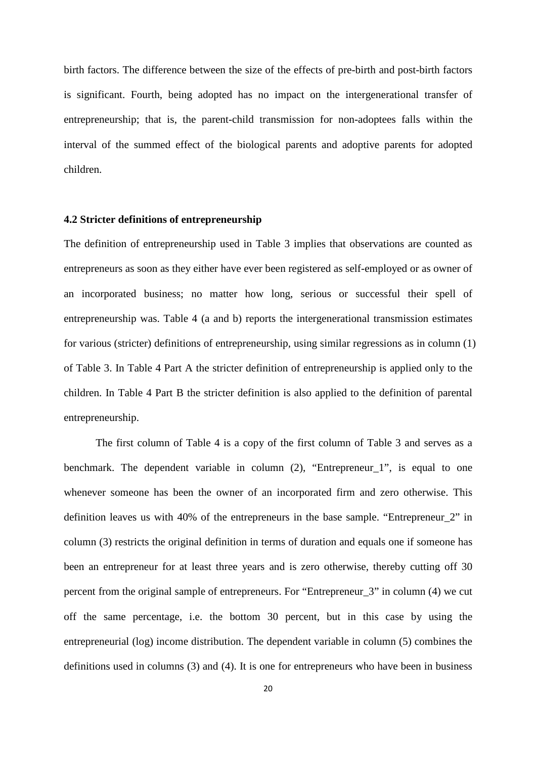birth factors. The difference between the size of the effects of pre-birth and post-birth factors is significant. Fourth, being adopted has no impact on the intergenerational transfer of entrepreneurship; that is, the parent-child transmission for non-adoptees falls within the interval of the summed effect of the biological parents and adoptive parents for adopted children.

#### **4.2 Stricter definitions of entrepreneurship**

The definition of entrepreneurship used in Table 3 implies that observations are counted as entrepreneurs as soon as they either have ever been registered as self-employed or as owner of an incorporated business; no matter how long, serious or successful their spell of entrepreneurship was. Table 4 (a and b) reports the intergenerational transmission estimates for various (stricter) definitions of entrepreneurship, using similar regressions as in column (1) of Table 3. In Table 4 Part A the stricter definition of entrepreneurship is applied only to the children. In Table 4 Part B the stricter definition is also applied to the definition of parental entrepreneurship.

 The first column of Table 4 is a copy of the first column of Table 3 and serves as a benchmark. The dependent variable in column (2), "Entrepreneur\_1", is equal to one whenever someone has been the owner of an incorporated firm and zero otherwise. This definition leaves us with 40% of the entrepreneurs in the base sample. "Entrepreneur\_2" in column (3) restricts the original definition in terms of duration and equals one if someone has been an entrepreneur for at least three years and is zero otherwise, thereby cutting off 30 percent from the original sample of entrepreneurs. For "Entrepreneur\_3" in column (4) we cut off the same percentage, i.e. the bottom 30 percent, but in this case by using the entrepreneurial (log) income distribution. The dependent variable in column (5) combines the definitions used in columns (3) and (4). It is one for entrepreneurs who have been in business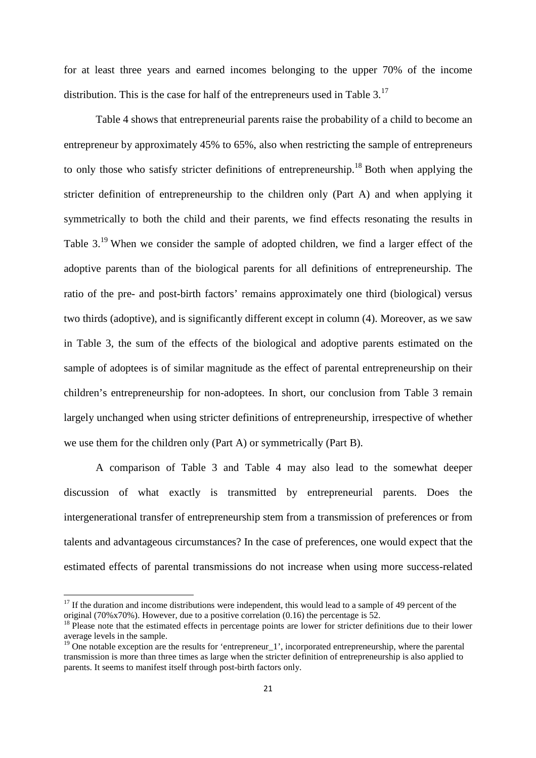for at least three years and earned incomes belonging to the upper 70% of the income distribution. This is the case for half of the entrepreneurs used in Table 3.<sup>17</sup>

 Table 4 shows that entrepreneurial parents raise the probability of a child to become an entrepreneur by approximately 45% to 65%, also when restricting the sample of entrepreneurs to only those who satisfy stricter definitions of entrepreneurship.<sup>18</sup> Both when applying the stricter definition of entrepreneurship to the children only (Part A) and when applying it symmetrically to both the child and their parents, we find effects resonating the results in Table 3.<sup>19</sup> When we consider the sample of adopted children, we find a larger effect of the adoptive parents than of the biological parents for all definitions of entrepreneurship. The ratio of the pre- and post-birth factors' remains approximately one third (biological) versus two thirds (adoptive), and is significantly different except in column (4). Moreover, as we saw in Table 3, the sum of the effects of the biological and adoptive parents estimated on the sample of adoptees is of similar magnitude as the effect of parental entrepreneurship on their children's entrepreneurship for non-adoptees. In short, our conclusion from Table 3 remain largely unchanged when using stricter definitions of entrepreneurship, irrespective of whether we use them for the children only (Part A) or symmetrically (Part B).

 A comparison of Table 3 and Table 4 may also lead to the somewhat deeper discussion of what exactly is transmitted by entrepreneurial parents. Does the intergenerational transfer of entrepreneurship stem from a transmission of preferences or from talents and advantageous circumstances? In the case of preferences, one would expect that the estimated effects of parental transmissions do not increase when using more success-related

 $17$  If the duration and income distributions were independent, this would lead to a sample of 49 percent of the original (70%x70%). However, due to a positive correlation (0.16) the percentage is  $\overline{52}$ .

 $18$  Please note that the estimated effects in percentage points are lower for stricter definitions due to their lower average levels in the sample.

<sup>&</sup>lt;sup>19</sup> One notable exception are the results for 'entrepreneur 1', incorporated entrepreneurship, where the parental transmission is more than three times as large when the stricter definition of entrepreneurship is also applied to parents. It seems to manifest itself through post-birth factors only.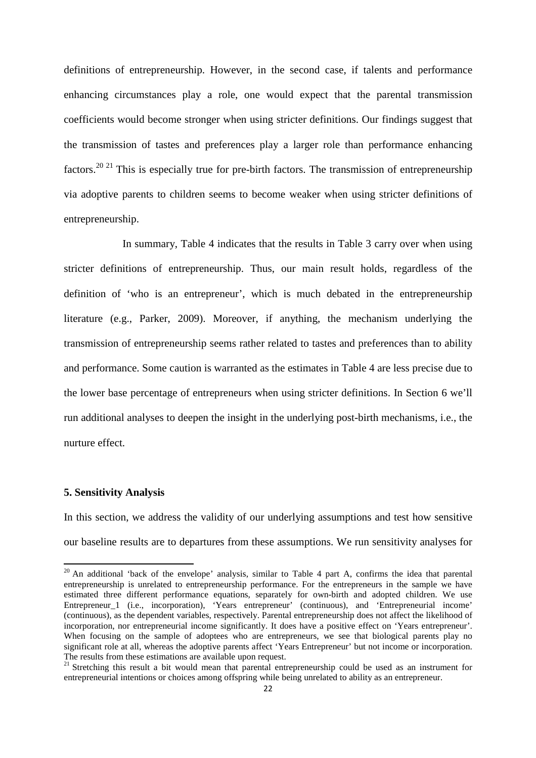definitions of entrepreneurship. However, in the second case, if talents and performance enhancing circumstances play a role, one would expect that the parental transmission coefficients would become stronger when using stricter definitions. Our findings suggest that the transmission of tastes and preferences play a larger role than performance enhancing factors.<sup>20 21</sup> This is especially true for pre-birth factors. The transmission of entrepreneurship via adoptive parents to children seems to become weaker when using stricter definitions of entrepreneurship.

In summary, Table 4 indicates that the results in Table 3 carry over when using stricter definitions of entrepreneurship. Thus, our main result holds, regardless of the definition of 'who is an entrepreneur', which is much debated in the entrepreneurship literature (e.g., Parker, 2009). Moreover, if anything, the mechanism underlying the transmission of entrepreneurship seems rather related to tastes and preferences than to ability and performance. Some caution is warranted as the estimates in Table 4 are less precise due to the lower base percentage of entrepreneurs when using stricter definitions. In Section 6 we'll run additional analyses to deepen the insight in the underlying post-birth mechanisms, i.e., the nurture effect.

#### **5. Sensitivity Analysis**

l

In this section, we address the validity of our underlying assumptions and test how sensitive our baseline results are to departures from these assumptions. We run sensitivity analyses for

 $20$  An additional 'back of the envelope' analysis, similar to Table 4 part A, confirms the idea that parental entrepreneurship is unrelated to entrepreneurship performance. For the entrepreneurs in the sample we have estimated three different performance equations, separately for own-birth and adopted children. We use Entrepreneur\_1 (i.e., incorporation), 'Years entrepreneur' (continuous), and 'Entrepreneurial income' (continuous), as the dependent variables, respectively. Parental entrepreneurship does not affect the likelihood of incorporation, nor entrepreneurial income significantly. It does have a positive effect on 'Years entrepreneur'. When focusing on the sample of adoptees who are entrepreneurs, we see that biological parents play no significant role at all, whereas the adoptive parents affect 'Years Entrepreneur' but not income or incorporation. The results from these estimations are available upon request.

<sup>&</sup>lt;sup>21</sup> Stretching this result a bit would mean that parental entrepreneurship could be used as an instrument for entrepreneurial intentions or choices among offspring while being unrelated to ability as an entrepreneur.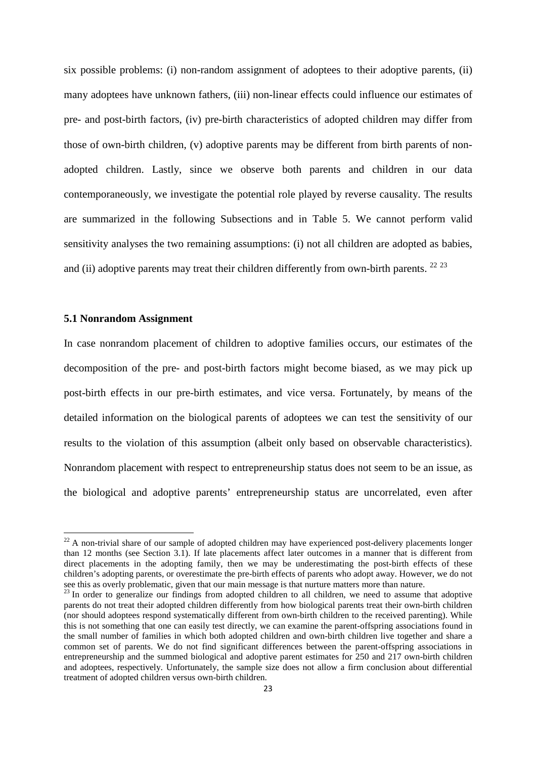six possible problems: (i) non-random assignment of adoptees to their adoptive parents, (ii) many adoptees have unknown fathers, (iii) non-linear effects could influence our estimates of pre- and post-birth factors, (iv) pre-birth characteristics of adopted children may differ from those of own-birth children, (v) adoptive parents may be different from birth parents of nonadopted children. Lastly, since we observe both parents and children in our data contemporaneously, we investigate the potential role played by reverse causality. The results are summarized in the following Subsections and in Table 5. We cannot perform valid sensitivity analyses the two remaining assumptions: (i) not all children are adopted as babies, and (ii) adoptive parents may treat their children differently from own-birth parents. <sup>22 23</sup>

#### **5.1 Nonrandom Assignment**

l

In case nonrandom placement of children to adoptive families occurs, our estimates of the decomposition of the pre- and post-birth factors might become biased, as we may pick up post-birth effects in our pre-birth estimates, and vice versa. Fortunately, by means of the detailed information on the biological parents of adoptees we can test the sensitivity of our results to the violation of this assumption (albeit only based on observable characteristics). Nonrandom placement with respect to entrepreneurship status does not seem to be an issue, as the biological and adoptive parents' entrepreneurship status are uncorrelated, even after

<sup>&</sup>lt;sup>22</sup> A non-trivial share of our sample of adopted children may have experienced post-delivery placements longer than 12 months (see Section 3.1). If late placements affect later outcomes in a manner that is different from direct placements in the adopting family, then we may be underestimating the post-birth effects of these children's adopting parents, or overestimate the pre-birth effects of parents who adopt away. However, we do not see this as overly problematic, given that our main message is that nurture matters more than nature.

<sup>&</sup>lt;sup>23</sup> In order to generalize our findings from adopted children to all children, we need to assume that adoptive parents do not treat their adopted children differently from how biological parents treat their own-birth children (nor should adoptees respond systematically different from own-birth children to the received parenting). While this is not something that one can easily test directly, we can examine the parent-offspring associations found in the small number of families in which both adopted children and own-birth children live together and share a common set of parents. We do not find significant differences between the parent-offspring associations in entrepreneurship and the summed biological and adoptive parent estimates for 250 and 217 own-birth children and adoptees, respectively. Unfortunately, the sample size does not allow a firm conclusion about differential treatment of adopted children versus own-birth children.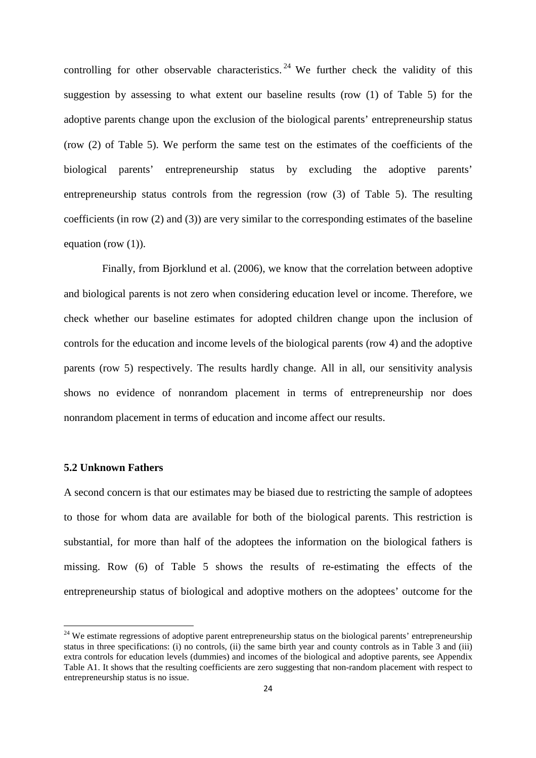controlling for other observable characteristics.<sup>24</sup> We further check the validity of this suggestion by assessing to what extent our baseline results (row (1) of Table 5) for the adoptive parents change upon the exclusion of the biological parents' entrepreneurship status (row (2) of Table 5). We perform the same test on the estimates of the coefficients of the biological parents' entrepreneurship status by excluding the adoptive parents' entrepreneurship status controls from the regression (row (3) of Table 5). The resulting coefficients (in row (2) and (3)) are very similar to the corresponding estimates of the baseline equation (row  $(1)$ ).

Finally, from Bjorklund et al. (2006), we know that the correlation between adoptive and biological parents is not zero when considering education level or income. Therefore, we check whether our baseline estimates for adopted children change upon the inclusion of controls for the education and income levels of the biological parents (row 4) and the adoptive parents (row 5) respectively. The results hardly change. All in all, our sensitivity analysis shows no evidence of nonrandom placement in terms of entrepreneurship nor does nonrandom placement in terms of education and income affect our results.

#### **5.2 Unknown Fathers**

l

A second concern is that our estimates may be biased due to restricting the sample of adoptees to those for whom data are available for both of the biological parents. This restriction is substantial, for more than half of the adoptees the information on the biological fathers is missing. Row (6) of Table 5 shows the results of re-estimating the effects of the entrepreneurship status of biological and adoptive mothers on the adoptees' outcome for the

<sup>&</sup>lt;sup>24</sup> We estimate regressions of adoptive parent entrepreneurship status on the biological parents' entrepreneurship status in three specifications: (i) no controls, (ii) the same birth year and county controls as in Table 3 and (iii) extra controls for education levels (dummies) and incomes of the biological and adoptive parents, see Appendix Table A1. It shows that the resulting coefficients are zero suggesting that non-random placement with respect to entrepreneurship status is no issue.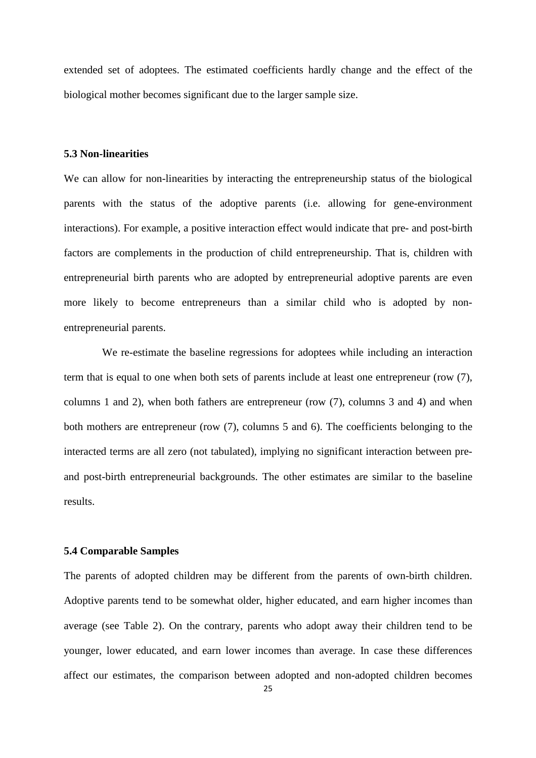extended set of adoptees. The estimated coefficients hardly change and the effect of the biological mother becomes significant due to the larger sample size.

#### **5.3 Non-linearities**

We can allow for non-linearities by interacting the entrepreneurship status of the biological parents with the status of the adoptive parents (i.e. allowing for gene-environment interactions). For example, a positive interaction effect would indicate that pre- and post-birth factors are complements in the production of child entrepreneurship. That is, children with entrepreneurial birth parents who are adopted by entrepreneurial adoptive parents are even more likely to become entrepreneurs than a similar child who is adopted by nonentrepreneurial parents.

We re-estimate the baseline regressions for adoptees while including an interaction term that is equal to one when both sets of parents include at least one entrepreneur (row (7), columns 1 and 2), when both fathers are entrepreneur (row (7), columns 3 and 4) and when both mothers are entrepreneur (row (7), columns 5 and 6). The coefficients belonging to the interacted terms are all zero (not tabulated), implying no significant interaction between preand post-birth entrepreneurial backgrounds. The other estimates are similar to the baseline results.

#### **5.4 Comparable Samples**

The parents of adopted children may be different from the parents of own-birth children. Adoptive parents tend to be somewhat older, higher educated, and earn higher incomes than average (see Table 2). On the contrary, parents who adopt away their children tend to be younger, lower educated, and earn lower incomes than average. In case these differences affect our estimates, the comparison between adopted and non-adopted children becomes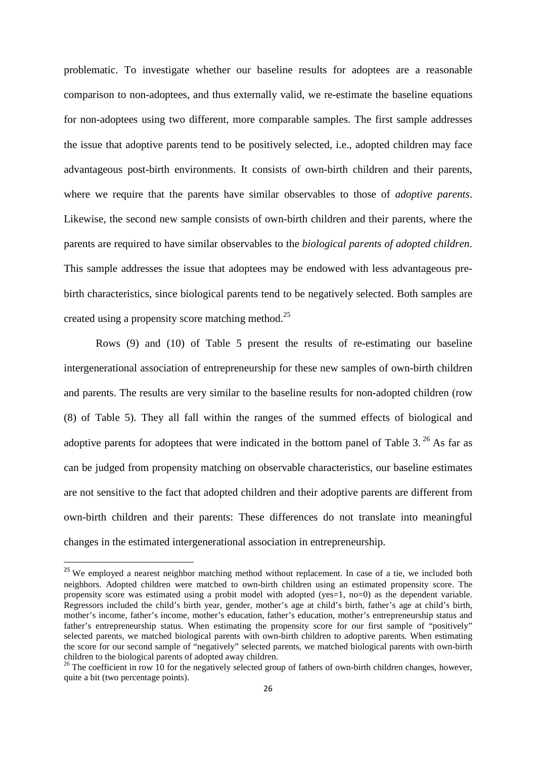problematic. To investigate whether our baseline results for adoptees are a reasonable comparison to non-adoptees, and thus externally valid, we re-estimate the baseline equations for non-adoptees using two different, more comparable samples. The first sample addresses the issue that adoptive parents tend to be positively selected, i.e., adopted children may face advantageous post-birth environments. It consists of own-birth children and their parents, where we require that the parents have similar observables to those of *adoptive parents*. Likewise, the second new sample consists of own-birth children and their parents, where the parents are required to have similar observables to the *biological parents of adopted children*. This sample addresses the issue that adoptees may be endowed with less advantageous prebirth characteristics, since biological parents tend to be negatively selected. Both samples are created using a propensity score matching method.<sup>25</sup>

 Rows (9) and (10) of Table 5 present the results of re-estimating our baseline intergenerational association of entrepreneurship for these new samples of own-birth children and parents. The results are very similar to the baseline results for non-adopted children (row (8) of Table 5). They all fall within the ranges of the summed effects of biological and adoptive parents for adoptees that were indicated in the bottom panel of Table 3.<sup>26</sup> As far as can be judged from propensity matching on observable characteristics, our baseline estimates are not sensitive to the fact that adopted children and their adoptive parents are different from own-birth children and their parents: These differences do not translate into meaningful changes in the estimated intergenerational association in entrepreneurship.

<sup>&</sup>lt;sup>25</sup> We employed a nearest neighbor matching method without replacement. In case of a tie, we included both neighbors. Adopted children were matched to own-birth children using an estimated propensity score. The propensity score was estimated using a probit model with adopted (yes=1, no=0) as the dependent variable. Regressors included the child's birth year, gender, mother's age at child's birth, father's age at child's birth, mother's income, father's income, mother's education, father's education, mother's entrepreneurship status and father's entrepreneurship status. When estimating the propensity score for our first sample of "positively" selected parents, we matched biological parents with own-birth children to adoptive parents. When estimating the score for our second sample of "negatively" selected parents, we matched biological parents with own-birth children to the biological parents of adopted away children.

<sup>&</sup>lt;sup>26</sup> The coefficient in row 10 for the negatively selected group of fathers of own-birth children changes, however, quite a bit (two percentage points).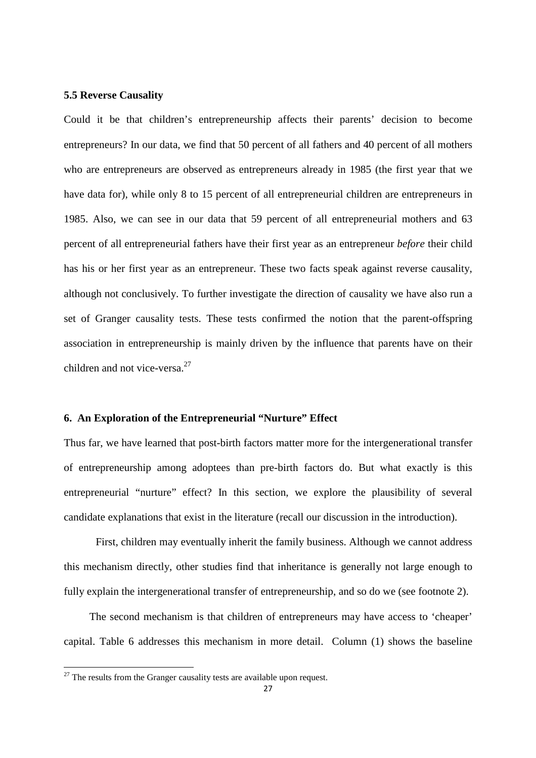#### **5.5 Reverse Causality**

Could it be that children's entrepreneurship affects their parents' decision to become entrepreneurs? In our data, we find that 50 percent of all fathers and 40 percent of all mothers who are entrepreneurs are observed as entrepreneurs already in 1985 (the first year that we have data for), while only 8 to 15 percent of all entrepreneurial children are entrepreneurs in 1985. Also, we can see in our data that 59 percent of all entrepreneurial mothers and 63 percent of all entrepreneurial fathers have their first year as an entrepreneur *before* their child has his or her first year as an entrepreneur. These two facts speak against reverse causality, although not conclusively. To further investigate the direction of causality we have also run a set of Granger causality tests. These tests confirmed the notion that the parent-offspring association in entrepreneurship is mainly driven by the influence that parents have on their children and not vice-versa.<sup>27</sup>

#### **6. An Exploration of the Entrepreneurial "Nurture" Effect**

Thus far, we have learned that post-birth factors matter more for the intergenerational transfer of entrepreneurship among adoptees than pre-birth factors do. But what exactly is this entrepreneurial "nurture" effect? In this section, we explore the plausibility of several candidate explanations that exist in the literature (recall our discussion in the introduction).

First, children may eventually inherit the family business. Although we cannot address this mechanism directly, other studies find that inheritance is generally not large enough to fully explain the intergenerational transfer of entrepreneurship, and so do we (see footnote 2).

The second mechanism is that children of entrepreneurs may have access to 'cheaper' capital. Table 6 addresses this mechanism in more detail. Column (1) shows the baseline

 $\overline{a}$ 

 $27$  The results from the Granger causality tests are available upon request.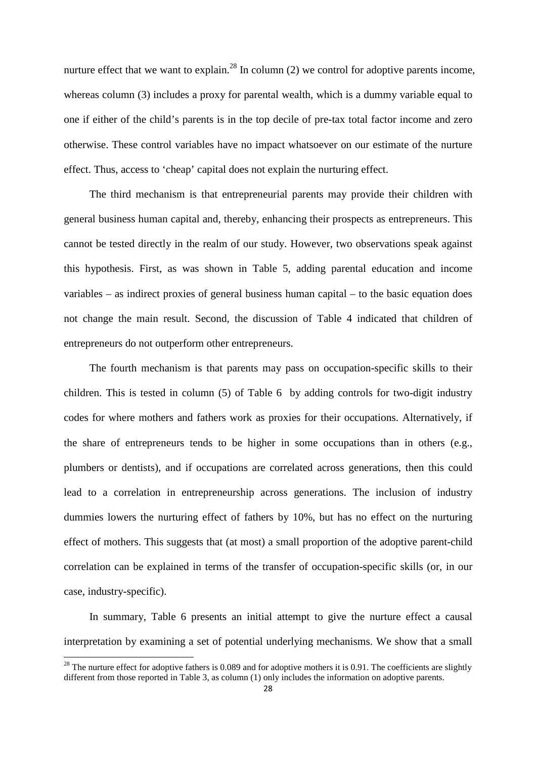nurture effect that we want to explain.<sup>28</sup> In column (2) we control for adoptive parents income, whereas column (3) includes a proxy for parental wealth, which is a dummy variable equal to one if either of the child's parents is in the top decile of pre-tax total factor income and zero otherwise. These control variables have no impact whatsoever on our estimate of the nurture effect. Thus, access to 'cheap' capital does not explain the nurturing effect.

 The third mechanism is that entrepreneurial parents may provide their children with general business human capital and, thereby, enhancing their prospects as entrepreneurs. This cannot be tested directly in the realm of our study. However, two observations speak against this hypothesis. First, as was shown in Table 5, adding parental education and income variables – as indirect proxies of general business human capital – to the basic equation does not change the main result. Second, the discussion of Table 4 indicated that children of entrepreneurs do not outperform other entrepreneurs.

 The fourth mechanism is that parents may pass on occupation-specific skills to their children. This is tested in column (5) of Table 6 by adding controls for two-digit industry codes for where mothers and fathers work as proxies for their occupations. Alternatively, if the share of entrepreneurs tends to be higher in some occupations than in others (e.g., plumbers or dentists), and if occupations are correlated across generations, then this could lead to a correlation in entrepreneurship across generations. The inclusion of industry dummies lowers the nurturing effect of fathers by 10%, but has no effect on the nurturing effect of mothers. This suggests that (at most) a small proportion of the adoptive parent-child correlation can be explained in terms of the transfer of occupation-specific skills (or, in our case, industry-specific).

 In summary, Table 6 presents an initial attempt to give the nurture effect a causal interpretation by examining a set of potential underlying mechanisms. We show that a small

<sup>&</sup>lt;sup>28</sup> The nurture effect for adoptive fathers is 0.089 and for adoptive mothers it is 0.91. The coefficients are slightly different from those reported in Table 3, as column (1) only includes the information on adoptive parents.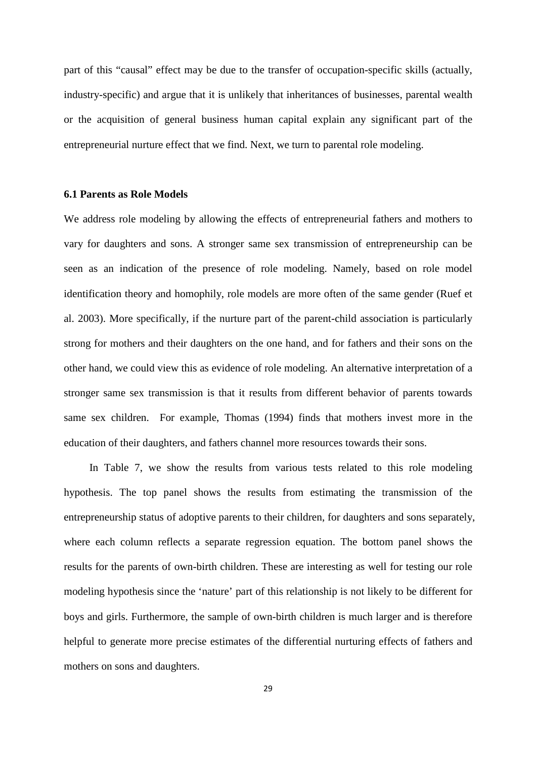part of this "causal" effect may be due to the transfer of occupation-specific skills (actually, industry-specific) and argue that it is unlikely that inheritances of businesses, parental wealth or the acquisition of general business human capital explain any significant part of the entrepreneurial nurture effect that we find. Next, we turn to parental role modeling.

#### **6.1 Parents as Role Models**

We address role modeling by allowing the effects of entrepreneurial fathers and mothers to vary for daughters and sons. A stronger same sex transmission of entrepreneurship can be seen as an indication of the presence of role modeling. Namely, based on role model identification theory and homophily, role models are more often of the same gender (Ruef et al. 2003). More specifically, if the nurture part of the parent-child association is particularly strong for mothers and their daughters on the one hand, and for fathers and their sons on the other hand, we could view this as evidence of role modeling. An alternative interpretation of a stronger same sex transmission is that it results from different behavior of parents towards same sex children. For example, Thomas (1994) finds that mothers invest more in the education of their daughters, and fathers channel more resources towards their sons.

In Table 7, we show the results from various tests related to this role modeling hypothesis. The top panel shows the results from estimating the transmission of the entrepreneurship status of adoptive parents to their children, for daughters and sons separately, where each column reflects a separate regression equation. The bottom panel shows the results for the parents of own-birth children. These are interesting as well for testing our role modeling hypothesis since the 'nature' part of this relationship is not likely to be different for boys and girls. Furthermore, the sample of own-birth children is much larger and is therefore helpful to generate more precise estimates of the differential nurturing effects of fathers and mothers on sons and daughters.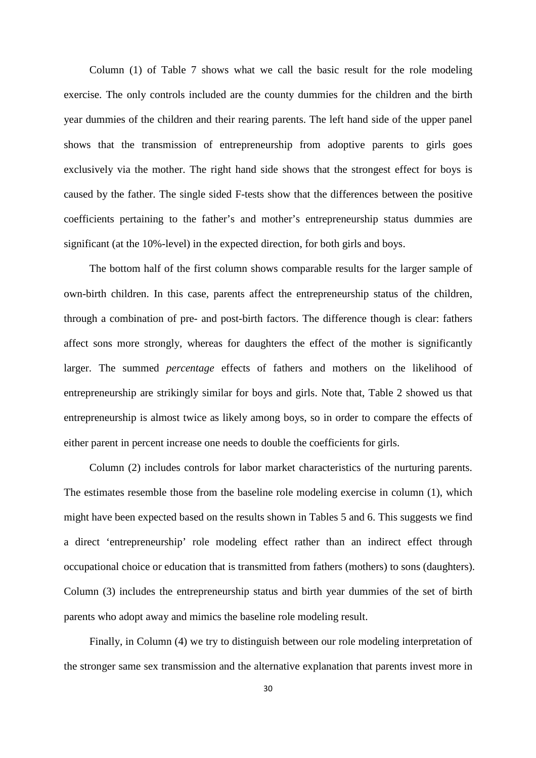Column (1) of Table 7 shows what we call the basic result for the role modeling exercise. The only controls included are the county dummies for the children and the birth year dummies of the children and their rearing parents. The left hand side of the upper panel shows that the transmission of entrepreneurship from adoptive parents to girls goes exclusively via the mother. The right hand side shows that the strongest effect for boys is caused by the father. The single sided F-tests show that the differences between the positive coefficients pertaining to the father's and mother's entrepreneurship status dummies are significant (at the 10%-level) in the expected direction, for both girls and boys.

The bottom half of the first column shows comparable results for the larger sample of own-birth children. In this case, parents affect the entrepreneurship status of the children, through a combination of pre- and post-birth factors. The difference though is clear: fathers affect sons more strongly, whereas for daughters the effect of the mother is significantly larger. The summed *percentage* effects of fathers and mothers on the likelihood of entrepreneurship are strikingly similar for boys and girls. Note that, Table 2 showed us that entrepreneurship is almost twice as likely among boys, so in order to compare the effects of either parent in percent increase one needs to double the coefficients for girls.

Column (2) includes controls for labor market characteristics of the nurturing parents. The estimates resemble those from the baseline role modeling exercise in column (1), which might have been expected based on the results shown in Tables 5 and 6. This suggests we find a direct 'entrepreneurship' role modeling effect rather than an indirect effect through occupational choice or education that is transmitted from fathers (mothers) to sons (daughters). Column (3) includes the entrepreneurship status and birth year dummies of the set of birth parents who adopt away and mimics the baseline role modeling result.

Finally, in Column (4) we try to distinguish between our role modeling interpretation of the stronger same sex transmission and the alternative explanation that parents invest more in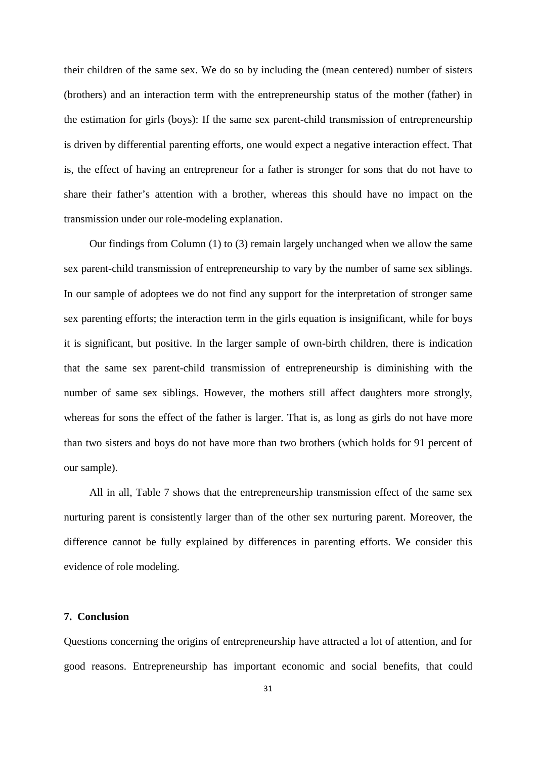their children of the same sex. We do so by including the (mean centered) number of sisters (brothers) and an interaction term with the entrepreneurship status of the mother (father) in the estimation for girls (boys): If the same sex parent-child transmission of entrepreneurship is driven by differential parenting efforts, one would expect a negative interaction effect. That is, the effect of having an entrepreneur for a father is stronger for sons that do not have to share their father's attention with a brother, whereas this should have no impact on the transmission under our role-modeling explanation.

Our findings from Column (1) to (3) remain largely unchanged when we allow the same sex parent-child transmission of entrepreneurship to vary by the number of same sex siblings. In our sample of adoptees we do not find any support for the interpretation of stronger same sex parenting efforts; the interaction term in the girls equation is insignificant, while for boys it is significant, but positive. In the larger sample of own-birth children, there is indication that the same sex parent-child transmission of entrepreneurship is diminishing with the number of same sex siblings. However, the mothers still affect daughters more strongly, whereas for sons the effect of the father is larger. That is, as long as girls do not have more than two sisters and boys do not have more than two brothers (which holds for 91 percent of our sample).

All in all, Table 7 shows that the entrepreneurship transmission effect of the same sex nurturing parent is consistently larger than of the other sex nurturing parent. Moreover, the difference cannot be fully explained by differences in parenting efforts. We consider this evidence of role modeling.

#### **7. Conclusion**

Questions concerning the origins of entrepreneurship have attracted a lot of attention, and for good reasons. Entrepreneurship has important economic and social benefits, that could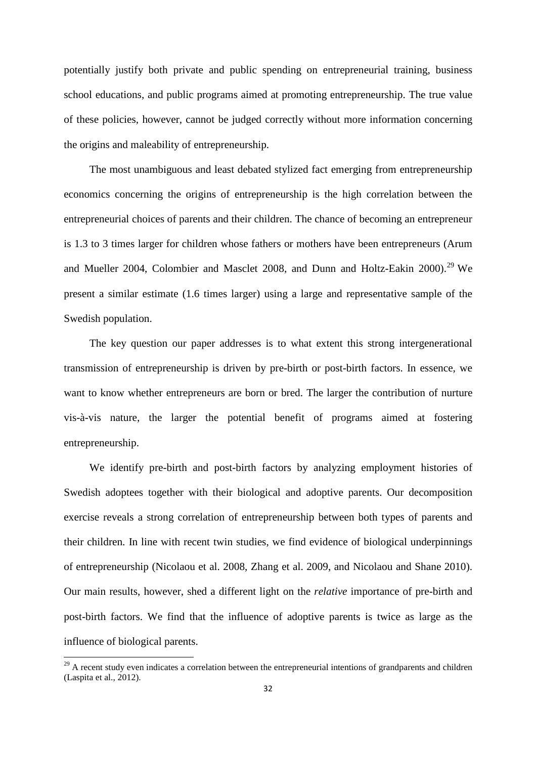potentially justify both private and public spending on entrepreneurial training, business school educations, and public programs aimed at promoting entrepreneurship. The true value of these policies, however, cannot be judged correctly without more information concerning the origins and maleability of entrepreneurship.

The most unambiguous and least debated stylized fact emerging from entrepreneurship economics concerning the origins of entrepreneurship is the high correlation between the entrepreneurial choices of parents and their children. The chance of becoming an entrepreneur is 1.3 to 3 times larger for children whose fathers or mothers have been entrepreneurs (Arum and Mueller 2004, Colombier and Masclet 2008, and Dunn and Holtz-Eakin 2000).<sup>29</sup> We present a similar estimate (1.6 times larger) using a large and representative sample of the Swedish population.

The key question our paper addresses is to what extent this strong intergenerational transmission of entrepreneurship is driven by pre-birth or post-birth factors. In essence, we want to know whether entrepreneurs are born or bred. The larger the contribution of nurture vis-à-vis nature, the larger the potential benefit of programs aimed at fostering entrepreneurship.

We identify pre-birth and post-birth factors by analyzing employment histories of Swedish adoptees together with their biological and adoptive parents. Our decomposition exercise reveals a strong correlation of entrepreneurship between both types of parents and their children. In line with recent twin studies, we find evidence of biological underpinnings of entrepreneurship (Nicolaou et al. 2008, Zhang et al. 2009, and Nicolaou and Shane 2010). Our main results, however, shed a different light on the *relative* importance of pre-birth and post-birth factors. We find that the influence of adoptive parents is twice as large as the influence of biological parents.

 $29$  A recent study even indicates a correlation between the entrepreneurial intentions of grandparents and children (Laspita et al., 2012).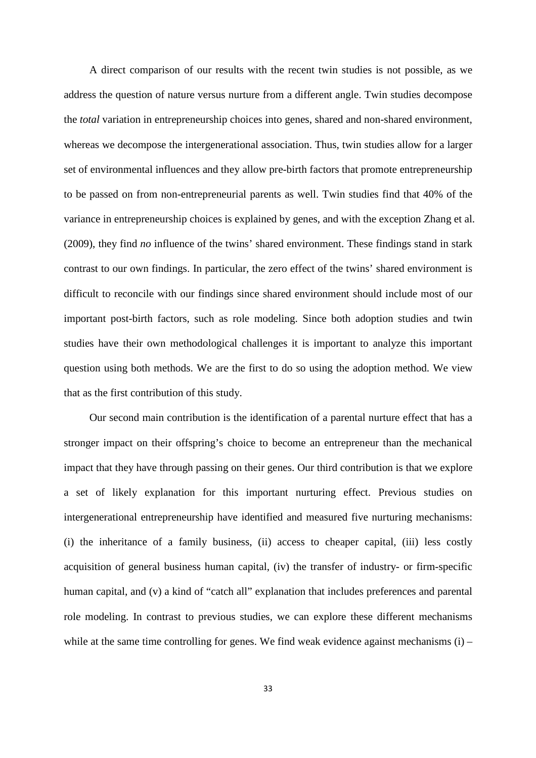A direct comparison of our results with the recent twin studies is not possible, as we address the question of nature versus nurture from a different angle. Twin studies decompose the *total* variation in entrepreneurship choices into genes, shared and non-shared environment, whereas we decompose the intergenerational association. Thus, twin studies allow for a larger set of environmental influences and they allow pre-birth factors that promote entrepreneurship to be passed on from non-entrepreneurial parents as well. Twin studies find that 40% of the variance in entrepreneurship choices is explained by genes, and with the exception Zhang et al. (2009), they find *no* influence of the twins' shared environment. These findings stand in stark contrast to our own findings. In particular, the zero effect of the twins' shared environment is difficult to reconcile with our findings since shared environment should include most of our important post-birth factors, such as role modeling. Since both adoption studies and twin studies have their own methodological challenges it is important to analyze this important question using both methods. We are the first to do so using the adoption method. We view that as the first contribution of this study.

Our second main contribution is the identification of a parental nurture effect that has a stronger impact on their offspring's choice to become an entrepreneur than the mechanical impact that they have through passing on their genes. Our third contribution is that we explore a set of likely explanation for this important nurturing effect. Previous studies on intergenerational entrepreneurship have identified and measured five nurturing mechanisms: (i) the inheritance of a family business, (ii) access to cheaper capital, (iii) less costly acquisition of general business human capital, (iv) the transfer of industry- or firm-specific human capital, and (v) a kind of "catch all" explanation that includes preferences and parental role modeling. In contrast to previous studies, we can explore these different mechanisms while at the same time controlling for genes. We find weak evidence against mechanisms  $(i)$  –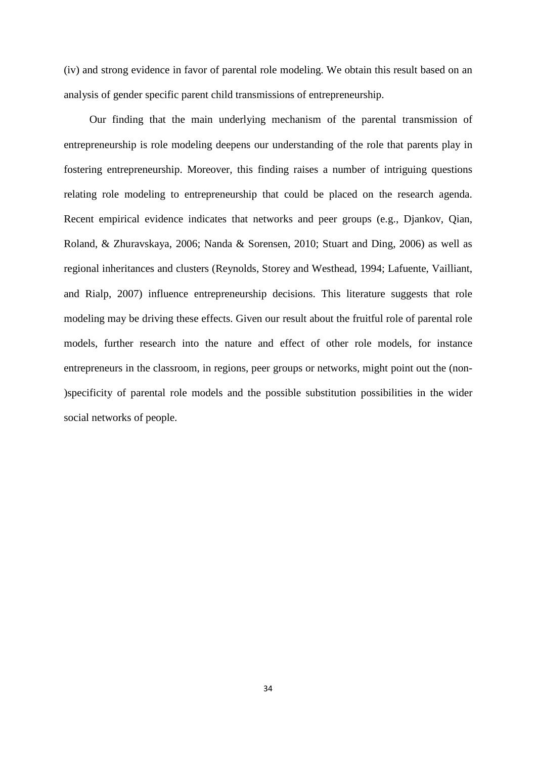(iv) and strong evidence in favor of parental role modeling. We obtain this result based on an analysis of gender specific parent child transmissions of entrepreneurship.

Our finding that the main underlying mechanism of the parental transmission of entrepreneurship is role modeling deepens our understanding of the role that parents play in fostering entrepreneurship. Moreover, this finding raises a number of intriguing questions relating role modeling to entrepreneurship that could be placed on the research agenda. Recent empirical evidence indicates that networks and peer groups (e.g., Djankov, Qian, Roland, & Zhuravskaya, 2006; Nanda & Sorensen, 2010; Stuart and Ding, 2006) as well as regional inheritances and clusters (Reynolds, Storey and Westhead, 1994; Lafuente, Vailliant, and Rialp, 2007) influence entrepreneurship decisions. This literature suggests that role modeling may be driving these effects. Given our result about the fruitful role of parental role models, further research into the nature and effect of other role models, for instance entrepreneurs in the classroom, in regions, peer groups or networks, might point out the (non- )specificity of parental role models and the possible substitution possibilities in the wider social networks of people.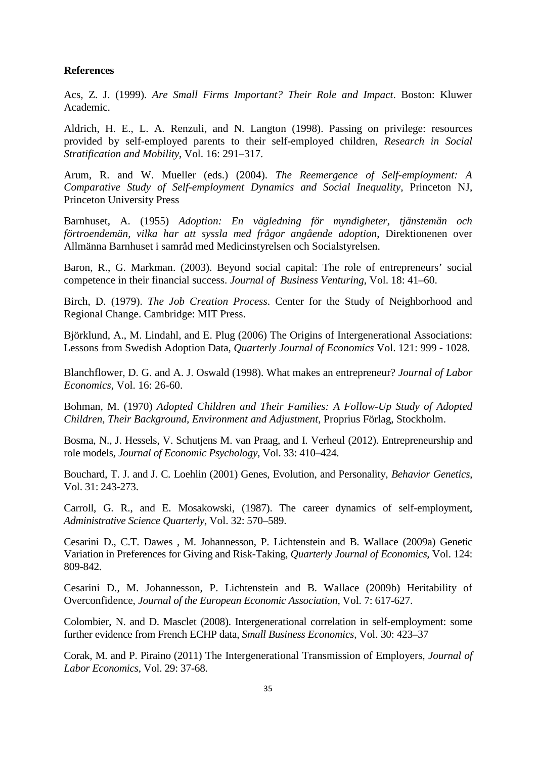#### **References**

Acs, Z. J. (1999). *Are Small Firms Important? Their Role and Impact*. Boston: Kluwer Academic.

Aldrich, H. E., L. A. Renzuli, and N. Langton (1998). Passing on privilege: resources provided by self-employed parents to their self-employed children, *Research in Social Stratification and Mobility*, Vol. 16: 291–317.

Arum, R. and W. Mueller (eds.) (2004). *The Reemergence of Self-employment: A Comparative Study of Self-employment Dynamics and Social Inequality*, Princeton NJ, Princeton University Press

Barnhuset, A. (1955) *Adoption: En vägledning för myndigheter, tjänstemän och förtroendemän, vilka har att syssla med frågor angående adoption*, Direktionenen over Allmänna Barnhuset i samråd med Medicinstyrelsen och Socialstyrelsen.

Baron, R., G. Markman. (2003). Beyond social capital: The role of entrepreneurs' social competence in their financial success. *Journal of Business Venturing*, Vol. 18: 41–60.

Birch, D. (1979). *The Job Creation Process*. Center for the Study of Neighborhood and Regional Change. Cambridge: MIT Press.

Björklund, A., M. Lindahl, and E. Plug (2006) The Origins of Intergenerational Associations: Lessons from Swedish Adoption Data, *Quarterly Journal of Economics* Vol. 121: 999 - 1028.

Blanchflower, D. G. and A. J. Oswald (1998). What makes an entrepreneur? *Journal of Labor Economics*, Vol. 16: 26-60.

Bohman, M. (1970) *Adopted Children and Their Families: A Follow-Up Study of Adopted Children, Their Background, Environment and Adjustment*, Proprius Förlag, Stockholm.

Bosma, N., J. Hessels, V. Schutjens M. van Praag, and I. Verheul (2012). Entrepreneurship and role models, *Journal of Economic Psychology*, Vol. 33: 410–424.

Bouchard, T. J. and J. C. Loehlin (2001) Genes, Evolution, and Personality, *Behavior Genetics*, Vol. 31: 243-273.

Carroll, G. R., and E. Mosakowski, (1987). The career dynamics of self-employment, *Administrative Science Quarterly*, Vol. 32: 570–589.

Cesarini D., C.T. Dawes , M. Johannesson, P. Lichtenstein and B. Wallace (2009a) Genetic Variation in Preferences for Giving and Risk-Taking, *Quarterly Journal of Economics,* Vol. 124: 809-842.

Cesarini D., M. Johannesson, P. Lichtenstein and B. Wallace (2009b) Heritability of Overconfidence, *Journal of the European Economic Association,* Vol. 7: 617-627.

Colombier, N. and D. Masclet (2008). Intergenerational correlation in self-employment: some further evidence from French ECHP data, *Small Business Economics*, Vol. 30: 423–37

Corak, M. and P. Piraino (2011) The Intergenerational Transmission of Employers, *Journal of Labor Economics*, Vol. 29: 37-68.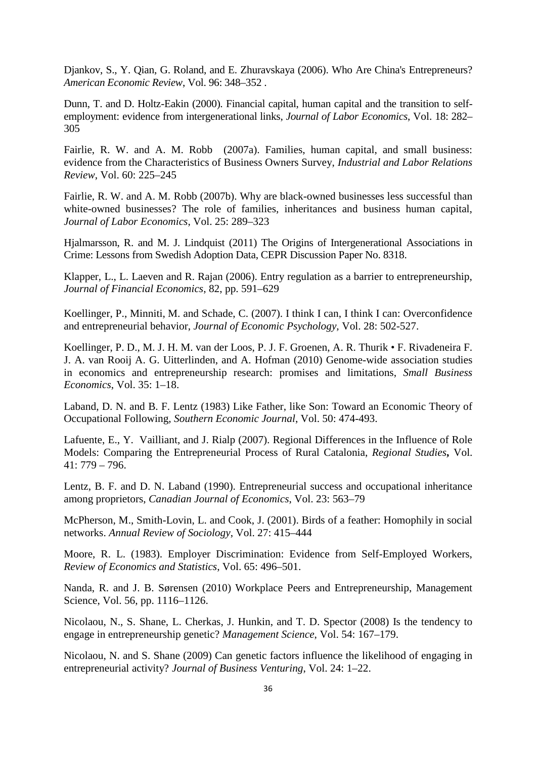Djankov, S., Y. Qian, G. Roland, and E. Zhuravskaya (2006). Who Are China's Entrepreneurs? *American Economic Review*, Vol. 96: 348–352 .

Dunn, T. and D. Holtz-Eakin (2000). Financial capital, human capital and the transition to selfemployment: evidence from intergenerational links, *Journal of Labor Economics*, Vol. 18: 282– 305

Fairlie, R. W. and A. M. Robb (2007a). Families, human capital, and small business: evidence from the Characteristics of Business Owners Survey, *Industrial and Labor Relations Review*, Vol. 60: 225–245

Fairlie, R. W. and A. M. Robb (2007b). Why are black-owned businesses less successful than white-owned businesses? The role of families, inheritances and business human capital, *Journal of Labor Economics*, Vol. 25: 289–323

Hjalmarsson, R. and M. J. Lindquist (2011) The Origins of Intergenerational Associations in Crime: Lessons from Swedish Adoption Data, CEPR Discussion Paper No. 8318.

Klapper, L., L. Laeven and R. Rajan (2006). Entry regulation as a barrier to entrepreneurship, *Journal of Financial Economics*, 82, pp. 591–629

Koellinger, P., Minniti, M. and Schade, C. (2007). I think I can, I think I can: Overconfidence and entrepreneurial behavior, *Journal of Economic Psychology,* Vol. 28: 502-527.

Koellinger, P. D., M. J. H. M. van der Loos, P. J. F. Groenen, A. R. Thurik • F. Rivadeneira F. J. A. van Rooij A. G. Uitterlinden, and A. Hofman (2010) Genome-wide association studies in economics and entrepreneurship research: promises and limitations, *Small Business Economics*, Vol. 35: 1–18.

Laband, D. N. and B. F. Lentz (1983) Like Father, like Son: Toward an Economic Theory of Occupational Following, *Southern Economic Journal*, Vol. 50: 474-493.

Lafuente, E., Y. Vailliant, and J. Rialp (2007). Regional Differences in the Influence of Role Models: Comparing the Entrepreneurial Process of Rural Catalonia, *Regional Studies***,** Vol. 41: 779 – 796.

Lentz, B. F. and D. N. Laband (1990). Entrepreneurial success and occupational inheritance among proprietors, *Canadian Journal of Economics*, Vol. 23: 563–79

McPherson, M., Smith-Lovin, L. and Cook, J. (2001). Birds of a feather: Homophily in social networks. *Annual Review of Sociology*, Vol. 27: 415–444

Moore, R. L. (1983). Employer Discrimination: Evidence from Self-Employed Workers, *Review of Economics and Statistics*, Vol. 65: 496–501.

Nanda, R. and J. B. Sørensen (2010) Workplace Peers and Entrepreneurship, Management Science, Vol. 56, pp. 1116–1126.

Nicolaou, N., S. Shane, L. Cherkas, J. Hunkin, and T. D. Spector (2008) Is the tendency to engage in entrepreneurship genetic? *Management Science*, Vol. 54: 167–179.

Nicolaou, N. and S. Shane (2009) Can genetic factors influence the likelihood of engaging in entrepreneurial activity? *Journal of Business Venturing*, Vol. 24: 1–22.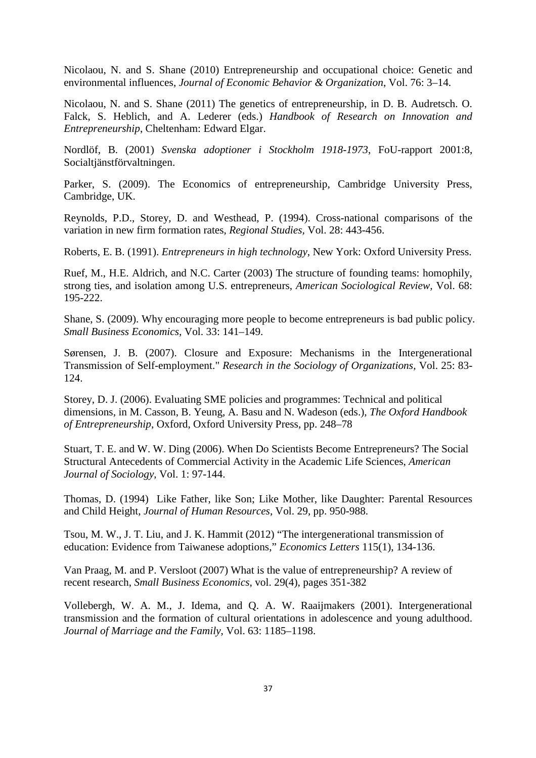Nicolaou, N. and S. Shane (2010) Entrepreneurship and occupational choice: Genetic and environmental influences, *Journal of Economic Behavior & Organization*, Vol. 76: 3–14.

Nicolaou, N. and S. Shane (2011) The genetics of entrepreneurship, in D. B. Audretsch. O. Falck, S. Heblich, and A. Lederer (eds.) *Handbook of Research on Innovation and Entrepreneurship*, Cheltenham: Edward Elgar.

Nordlöf, B. (2001) *Svenska adoptioner i Stockholm 1918-1973*, FoU-rapport 2001:8, Socialtjänstförvaltningen.

Parker, S. (2009). The Economics of entrepreneurship, Cambridge University Press, Cambridge, UK.

Reynolds, P.D., Storey, D. and Westhead, P. (1994). Cross-national comparisons of the variation in new firm formation rates, *Regional Studies,* Vol. 28: 443-456.

Roberts, E. B. (1991). *Entrepreneurs in high technology*, New York: Oxford University Press.

Ruef, M., H.E. Aldrich, and N.C. Carter (2003) The structure of founding teams: homophily, strong ties, and isolation among U.S. entrepreneurs, *American Sociological Review,* Vol. 68: 195-222.

Shane, S. (2009). Why encouraging more people to become entrepreneurs is bad public policy. *Small Business Economics,* Vol. 33: 141–149.

Sørensen, J. B. (2007). Closure and Exposure: Mechanisms in the Intergenerational Transmission of Self-employment." *Research in the Sociology of Organizations,* Vol. 25: 83- 124.

Storey, D. J. (2006). Evaluating SME policies and programmes: Technical and political dimensions, in M. Casson, B. Yeung, A. Basu and N. Wadeson (eds.), *The Oxford Handbook of Entrepreneurship*, Oxford, Oxford University Press, pp. 248–78

Stuart, T. E. and W. W. Ding (2006). When Do Scientists Become Entrepreneurs? The Social Structural Antecedents of Commercial Activity in the Academic Life Sciences, *American Journal of Sociology*, Vol. 1: 97-144.

Thomas, D. (1994) Like Father, like Son; Like Mother, like Daughter: Parental Resources and Child Height, *Journal of Human Resources*, Vol. 29, pp. 950-988.

Tsou, M. W., J. T. Liu, and J. K. Hammit (2012) "The intergenerational transmission of education: Evidence from Taiwanese adoptions," *Economics Letters* 115(1), 134-136.

Van Praag, M. and P. Versloot (2007) What is the value of entrepreneurship? A review of recent research, *Small Business Economics*, vol. 29(4), pages 351-382

Vollebergh, W. A. M., J. Idema, and Q. A. W. Raaijmakers (2001). Intergenerational transmission and the formation of cultural orientations in adolescence and young adulthood. *Journal of Marriage and the Family*, Vol. 63: 1185–1198.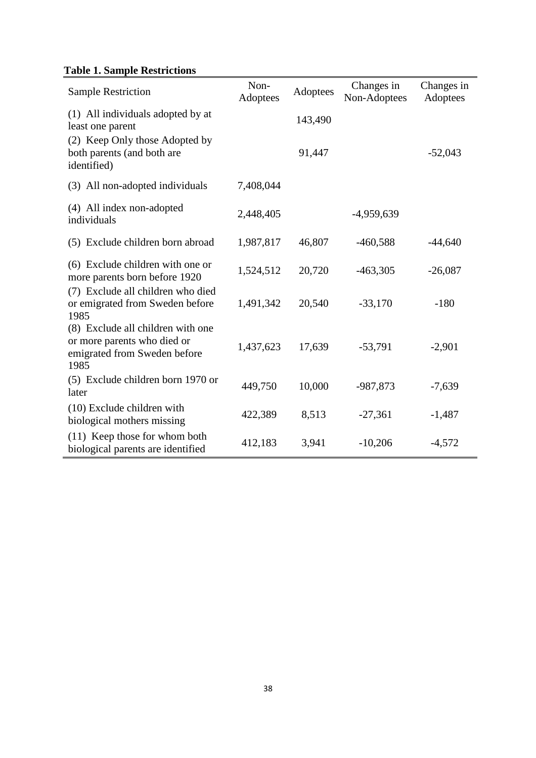# **Table 1. Sample Restrictions**

| <b>Sample Restriction</b>                                                                                | Non-<br>Adoptees | Adoptees | Changes in<br>Non-Adoptees | Changes in<br>Adoptees |
|----------------------------------------------------------------------------------------------------------|------------------|----------|----------------------------|------------------------|
| (1) All individuals adopted by at<br>least one parent                                                    |                  | 143,490  |                            |                        |
| (2) Keep Only those Adopted by<br>both parents (and both are<br>identified)                              |                  | 91,447   |                            | $-52,043$              |
| (3) All non-adopted individuals                                                                          | 7,408,044        |          |                            |                        |
| (4) All index non-adopted<br>individuals                                                                 | 2,448,405        |          | $-4,959,639$               |                        |
| (5) Exclude children born abroad                                                                         | 1,987,817        | 46,807   | $-460,588$                 | $-44,640$              |
| (6) Exclude children with one or<br>more parents born before 1920                                        | 1,524,512        | 20,720   | $-463,305$                 | $-26,087$              |
| (7) Exclude all children who died<br>or emigrated from Sweden before<br>1985                             | 1,491,342        | 20,540   | $-33,170$                  | $-180$                 |
| (8) Exclude all children with one<br>or more parents who died or<br>emigrated from Sweden before<br>1985 | 1,437,623        | 17,639   | $-53,791$                  | $-2,901$               |
| (5) Exclude children born 1970 or<br>later                                                               | 449,750          | 10,000   | $-987,873$                 | $-7,639$               |
| (10) Exclude children with<br>biological mothers missing                                                 | 422,389          | 8,513    | $-27,361$                  | $-1,487$               |
| (11) Keep those for whom both<br>biological parents are identified                                       | 412,183          | 3,941    | $-10,206$                  | $-4,572$               |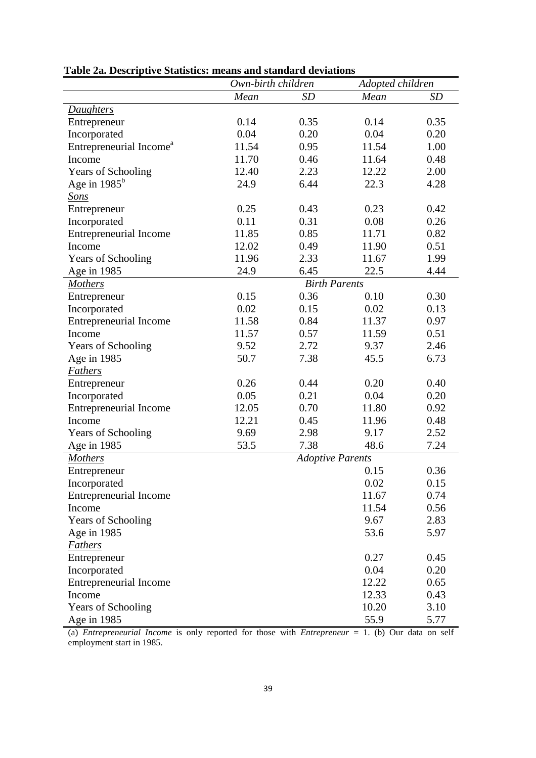|                                     | Own-birth children |                         | Adopted children |           |  |
|-------------------------------------|--------------------|-------------------------|------------------|-----------|--|
|                                     | Mean               | <b>SD</b>               | Mean             | <b>SD</b> |  |
| <b>Daughters</b>                    |                    |                         |                  |           |  |
| Entrepreneur                        | 0.14               | 0.35                    | 0.14             | 0.35      |  |
| Incorporated                        | 0.04               | 0.20                    | 0.04             | 0.20      |  |
| Entrepreneurial Income <sup>a</sup> | 11.54              | 0.95                    | 11.54            | 1.00      |  |
| Income                              | 11.70              | 0.46                    | 11.64            | 0.48      |  |
| <b>Years of Schooling</b>           | 12.40              | 2.23                    | 12.22            | 2.00      |  |
| Age in $1985^b$                     | 24.9               | 6.44                    | 22.3             | 4.28      |  |
| Sons                                |                    |                         |                  |           |  |
| Entrepreneur                        | 0.25               | 0.43                    | 0.23             | 0.42      |  |
| Incorporated                        | 0.11               | 0.31                    | 0.08             | 0.26      |  |
| <b>Entrepreneurial Income</b>       | 11.85              | 0.85                    | 11.71            | 0.82      |  |
| Income                              | 12.02              | 0.49                    | 11.90            | 0.51      |  |
| <b>Years of Schooling</b>           | 11.96              | 2.33                    | 11.67            | 1.99      |  |
| Age in 1985                         | 24.9               | 6.45                    | 22.5             | 4.44      |  |
| Mothers                             |                    | <b>Birth Parents</b>    |                  |           |  |
| Entrepreneur                        | 0.15               | 0.36                    | 0.10             | 0.30      |  |
| Incorporated                        | 0.02               | 0.15                    | 0.02             | 0.13      |  |
| Entrepreneurial Income              | 11.58              | 0.84                    | 11.37            | 0.97      |  |
| Income                              | 11.57              | 0.57                    | 11.59            | 0.51      |  |
| <b>Years of Schooling</b>           | 9.52               | 2.72                    | 9.37             | 2.46      |  |
| Age in 1985                         | 50.7               | 7.38                    | 45.5             | 6.73      |  |
| Fathers                             |                    |                         |                  |           |  |
| Entrepreneur                        | 0.26               | 0.44                    | 0.20             | 0.40      |  |
| Incorporated                        | 0.05               | 0.21                    | 0.04             | 0.20      |  |
| <b>Entrepreneurial Income</b>       | 12.05              | 0.70                    | 11.80            | 0.92      |  |
| Income                              | 12.21              | 0.45                    | 11.96            | 0.48      |  |
| <b>Years of Schooling</b>           | 9.69               | 2.98                    | 9.17             | 2.52      |  |
| Age in 1985                         | 53.5               | 7.38                    | 48.6             | 7.24      |  |
| <b>Mothers</b>                      |                    | <b>Adoptive Parents</b> |                  |           |  |
| Entrepreneur                        |                    |                         | 0.15             | 0.36      |  |
| Incorporated                        |                    |                         | 0.02             | 0.15      |  |
| Entrepreneurial Income              |                    |                         | 11.67            | 0.74      |  |
| Income                              |                    |                         | 11.54            | 0.56      |  |
| <b>Years of Schooling</b>           |                    |                         | 9.67             | 2.83      |  |
| Age in 1985                         |                    |                         | 53.6             | 5.97      |  |
| <b>Fathers</b>                      |                    |                         |                  |           |  |
| Entrepreneur                        |                    |                         | 0.27             | 0.45      |  |
| Incorporated                        |                    |                         | 0.04             | 0.20      |  |
| Entrepreneurial Income              |                    |                         | 12.22            | 0.65      |  |
| Income                              |                    |                         | 12.33            | 0.43      |  |
| <b>Years of Schooling</b>           |                    |                         | 10.20            | 3.10      |  |
| Age in $1985$                       |                    |                         | 55.9             | 5.77      |  |

**Table 2a. Descriptive Statistics: means and standard deviations** 

(a) *Entrepreneurial Income* is only reported for those with *Entrepreneur* = 1. (b) Our data on self employment start in 1985.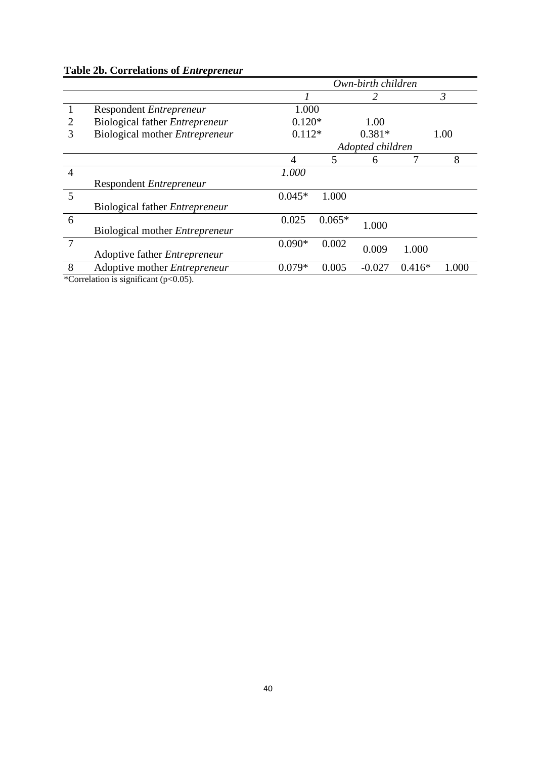# **Table 2b. Correlations of** *Entrepreneur*

|                |                                       | Own-birth children |          |                  |          |       |
|----------------|---------------------------------------|--------------------|----------|------------------|----------|-------|
|                |                                       |                    |          | 2                |          | 3     |
|                | Respondent Entrepreneur               | 1.000              |          |                  |          |       |
| $\overline{2}$ | Biological father <i>Entrepreneur</i> | $0.120*$           |          | 1.00             |          |       |
| 3              | Biological mother <i>Entrepreneur</i> | $0.112*$           |          | $0.381*$         |          | 1.00  |
|                |                                       |                    |          | Adopted children |          |       |
|                |                                       | 4                  | 5        | 6                |          | 8     |
| $\overline{4}$ |                                       | 1.000              |          |                  |          |       |
|                | Respondent <i>Entrepreneur</i>        |                    |          |                  |          |       |
| 5              |                                       | $0.045*$           | 1.000    |                  |          |       |
|                | Biological father <i>Entrepreneur</i> |                    |          |                  |          |       |
| 6              |                                       | 0.025              | $0.065*$ | 1.000            |          |       |
|                | Biological mother <i>Entrepreneur</i> |                    |          |                  |          |       |
| $\overline{7}$ |                                       | $0.090*$           | 0.002    | 0.009            | 1.000    |       |
|                | Adoptive father <i>Entrepreneur</i>   |                    |          |                  |          |       |
| 8              | Adoptive mother <i>Entrepreneur</i>   | $0.079*$           | 0.005    | $-0.027$         | $0.416*$ | 1.000 |
|                | *Correlation is significant (p<0.05). |                    |          |                  |          |       |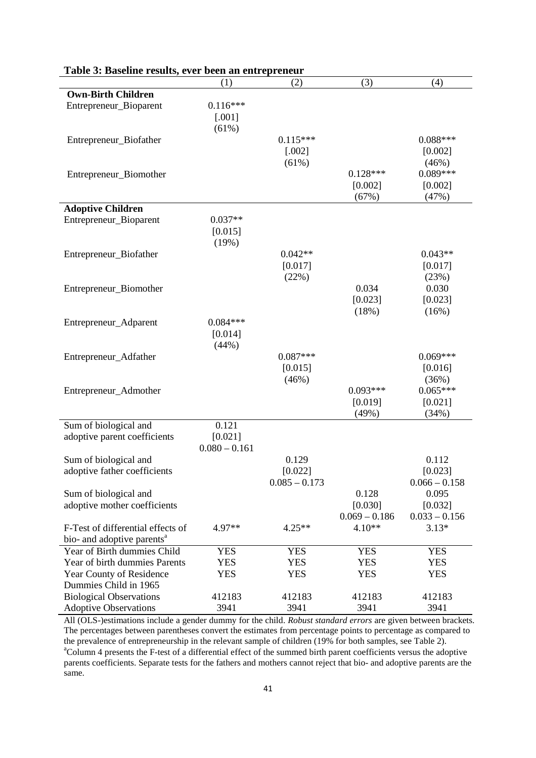| radic 9: Daschiic results, ever been an entrepreneur |                 |                 |                 |                 |
|------------------------------------------------------|-----------------|-----------------|-----------------|-----------------|
|                                                      | (1)             | (2)             | (3)             | (4)             |
| <b>Own-Birth Children</b>                            |                 |                 |                 |                 |
| Entrepreneur_Bioparent                               | $0.116***$      |                 |                 |                 |
|                                                      | $[.001]$        |                 |                 |                 |
|                                                      | (61%)           |                 |                 |                 |
| Entrepreneur_Biofather                               |                 | $0.115***$      |                 | $0.088***$      |
|                                                      |                 | $[.002]$        |                 | [0.002]         |
|                                                      |                 | (61%)           |                 | (46%)           |
| Entrepreneur_Biomother                               |                 |                 | $0.128***$      | $0.089***$      |
|                                                      |                 |                 | [0.002]         | [0.002]         |
|                                                      |                 |                 | (67%)           | (47%)           |
| <b>Adoptive Children</b>                             |                 |                 |                 |                 |
| Entrepreneur_Bioparent                               | $0.037**$       |                 |                 |                 |
|                                                      | [0.015]         |                 |                 |                 |
|                                                      | (19%)           |                 |                 |                 |
| Entrepreneur_Biofather                               |                 | $0.042**$       |                 | $0.043**$       |
|                                                      |                 | [0.017]         |                 | [0.017]         |
|                                                      |                 | (22%)           |                 | (23%)           |
| Entrepreneur_Biomother                               |                 |                 | 0.034           | 0.030           |
|                                                      |                 |                 | [0.023]         | [0.023]         |
|                                                      |                 |                 | (18%)           | (16%)           |
| Entrepreneur_Adparent                                | $0.084***$      |                 |                 |                 |
|                                                      | [0.014]         |                 |                 |                 |
|                                                      | (44%)           |                 |                 |                 |
|                                                      |                 | $0.087***$      |                 | $0.069***$      |
| Entrepreneur_Adfather                                |                 |                 |                 |                 |
|                                                      |                 | [0.015]         |                 | [0.016]         |
|                                                      |                 | (46%)           | $0.093***$      | (36%)           |
| Entrepreneur_Admother                                |                 |                 |                 | $0.065***$      |
|                                                      |                 |                 | [0.019]         | [0.021]         |
|                                                      |                 |                 | (49%)           | (34%)           |
| Sum of biological and                                | 0.121           |                 |                 |                 |
| adoptive parent coefficients                         | [0.021]         |                 |                 |                 |
|                                                      | $0.080 - 0.161$ |                 |                 |                 |
| Sum of biological and                                |                 | 0.129           |                 | 0.112           |
| adoptive father coefficients                         |                 | [0.022]         |                 | [0.023]         |
|                                                      |                 | $0.085 - 0.173$ |                 | $0.066 - 0.158$ |
| Sum of biological and                                |                 |                 | 0.128           | 0.095           |
| adoptive mother coefficients                         |                 |                 | [0.030]         | [0.032]         |
|                                                      |                 |                 | $0.069 - 0.186$ | $0.033 - 0.156$ |
| F-Test of differential effects of                    | 4.97**          | $4.25**$        | $4.10**$        | $3.13*$         |
| bio- and adoptive parents <sup>a</sup>               |                 |                 |                 |                 |
| Year of Birth dummies Child                          | <b>YES</b>      | <b>YES</b>      | <b>YES</b>      | <b>YES</b>      |
| Year of birth dummies Parents                        | <b>YES</b>      | <b>YES</b>      | <b>YES</b>      | <b>YES</b>      |
| Year County of Residence                             | <b>YES</b>      | <b>YES</b>      | <b>YES</b>      | <b>YES</b>      |
| Dummies Child in 1965                                |                 |                 |                 |                 |
| <b>Biological Observations</b>                       | 412183          | 412183          | 412183          | 412183          |
| <b>Adoptive Observations</b>                         | 3941            | 3941            | 3941            | 3941            |

**Table 3: Baseline results, ever been an entrepreneur**

All (OLS-)estimations include a gender dummy for the child. *Robust standard errors* are given between brackets. The percentages between parentheses convert the estimates from percentage points to percentage as compared to the prevalence of entrepreneurship in the relevant sample of children (19% for both samples, see Table 2). <sup>a</sup>Column 4 presents the F-test of a differential effect of the summed birth parent coefficients versus the adoptive parents coefficients. Separate tests for the fathers and mothers cannot reject that bio- and adoptive parents are the same.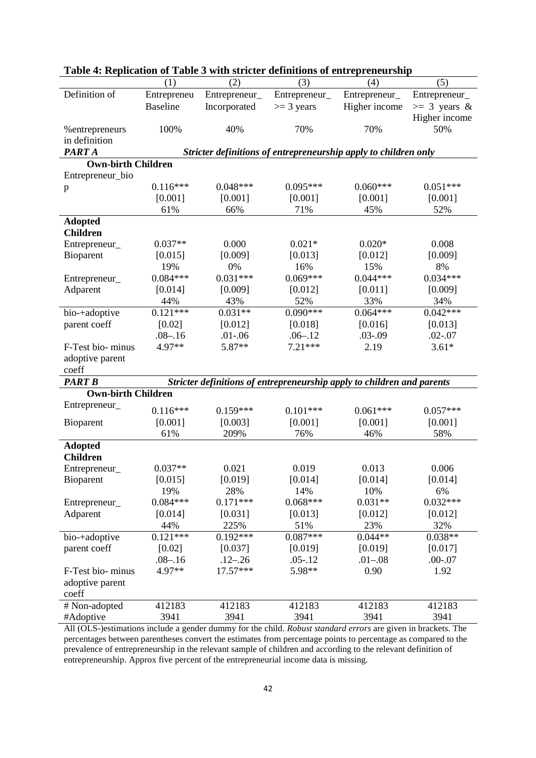|                                   | (1)             | (2)           | (3)           | (4)                                                                    | (5)              |
|-----------------------------------|-----------------|---------------|---------------|------------------------------------------------------------------------|------------------|
| Definition of                     | Entrepreneu     | Entrepreneur_ | Entrepreneur_ | Entrepreneur_                                                          | Entrepreneur_    |
|                                   | <b>Baseline</b> | Incorporated  | $>=$ 3 years  | Higher income                                                          | $\geq$ 3 years & |
|                                   |                 |               |               |                                                                        | Higher income    |
| % entrepreneurs                   | 100%            | 40%           | 70%           | 70%                                                                    | 50%              |
| in definition                     |                 |               |               |                                                                        |                  |
| PART A                            |                 |               |               | Stricter definitions of entrepreneurship apply to children only        |                  |
| <b>Own-birth Children</b>         |                 |               |               |                                                                        |                  |
| Entrepreneur_bio                  |                 |               |               |                                                                        |                  |
|                                   | $0.116***$      | $0.048***$    | $0.095***$    | $0.060***$                                                             | $0.051***$       |
| p                                 | [0.001]         | [0.001]       | [0.001]       | [0.001]                                                                | [0.001]          |
|                                   | 61%             | 66%           | 71%           | 45%                                                                    | 52%              |
|                                   |                 |               |               |                                                                        |                  |
| <b>Adopted</b><br><b>Children</b> |                 |               |               |                                                                        |                  |
| Entrepreneur_                     | $0.037**$       | 0.000         | $0.021*$      | $0.020*$                                                               | 0.008            |
| Bioparent                         | [0.015]         | [0.009]       | [0.013]       | [0.012]                                                                | [0.009]          |
|                                   | 19%             | 0%            | 16%           | 15%                                                                    | 8%               |
| Entrepreneur_                     | $0.084***$      | $0.031***$    | $0.069***$    | $0.044***$                                                             | $0.034***$       |
| Adparent                          | [0.014]         | [0.009]       | [0.012]       | [0.011]                                                                | [0.009]          |
|                                   | 44%             | 43%           | 52%           | 33%                                                                    | 34%              |
| bio-+adoptive                     | $0.121***$      | $0.031**$     | $0.090***$    | $0.064***$                                                             | $0.042***$       |
| parent coeff                      | [0.02]          | [0.012]       | [0.018]       | [0.016]                                                                | [0.013]          |
|                                   | $.08 - .16$     | $.01 - .06$   | $.06 - .12$   | $.03 - .09$                                                            | $.02 - .07$      |
| F-Test bio- minus                 | 4.97**          | 5.87**        | $7.21***$     | 2.19                                                                   | $3.61*$          |
| adoptive parent                   |                 |               |               |                                                                        |                  |
| coeff                             |                 |               |               |                                                                        |                  |
| <b>PART B</b>                     |                 |               |               | Stricter definitions of entrepreneurship apply to children and parents |                  |
| <b>Own-birth Children</b>         |                 |               |               |                                                                        |                  |
| Entrepreneur_                     |                 |               |               |                                                                        |                  |
|                                   | $0.116***$      | $0.159***$    | $0.101***$    | $0.061***$                                                             | $0.057***$       |
| Bioparent                         | [0.001]         | [0.003]       | [0.001]       | [0.001]                                                                | [0.001]          |
|                                   | 61%             | 209%          | 76%           | 46%                                                                    | 58%              |
| <b>Adopted</b>                    |                 |               |               |                                                                        |                  |
| <b>Children</b>                   |                 |               |               |                                                                        |                  |
| Entrepreneur_                     | $0.037**$       | 0.021         | 0.019         | 0.013                                                                  | 0.006            |
| Bioparent                         | [0.015]         | [0.019]       | [0.014]       | [0.014]                                                                | [0.014]          |
|                                   | 19%             | 28%           | 14%           | 10%                                                                    | 6%               |
| Entrepreneur_                     | $0.084***$      | $0.171***$    | $0.068***$    | $0.031**$                                                              | $0.032***$       |
| Adparent                          | [0.014]         | [0.031]       | [0.013]       | [0.012]                                                                | [0.012]          |
|                                   | 44%             | 225%          | 51%           | 23%                                                                    | 32%              |
| bio-+adoptive                     | $0.121***$      | $0.192***$    | $0.087***$    | $0.044**$                                                              | $0.038**$        |
| parent coeff                      | [0.02]          | [0.037]       | [0.019]       | [0.019]                                                                | [0.017]          |
|                                   | $.08 - .16$     | $.12 - .26$   | $.05 - .12$   | $.01 - .08$                                                            | $.00 - .07$      |
| F-Test bio- minus                 | 4.97**          | 17.57***      | 5.98**        | 0.90                                                                   | 1.92             |
| adoptive parent                   |                 |               |               |                                                                        |                  |
| coeff                             |                 |               |               |                                                                        |                  |
| # Non-adopted                     | 412183          | 412183        | 412183        | 412183                                                                 | 412183           |
| #Adoptive                         | 3941            | 3941          | 3941          | 3941                                                                   | 3941             |

|  | Table 4: Replication of Table 3 with stricter definitions of entrepreneurship |
|--|-------------------------------------------------------------------------------|
|--|-------------------------------------------------------------------------------|

All (OLS-)estimations include a gender dummy for the child. *Robust standard errors* are given in brackets. The percentages between parentheses convert the estimates from percentage points to percentage as compared to the prevalence of entrepreneurship in the relevant sample of children and according to the relevant definition of entrepreneurship. Approx five percent of the entrepreneurial income data is missing.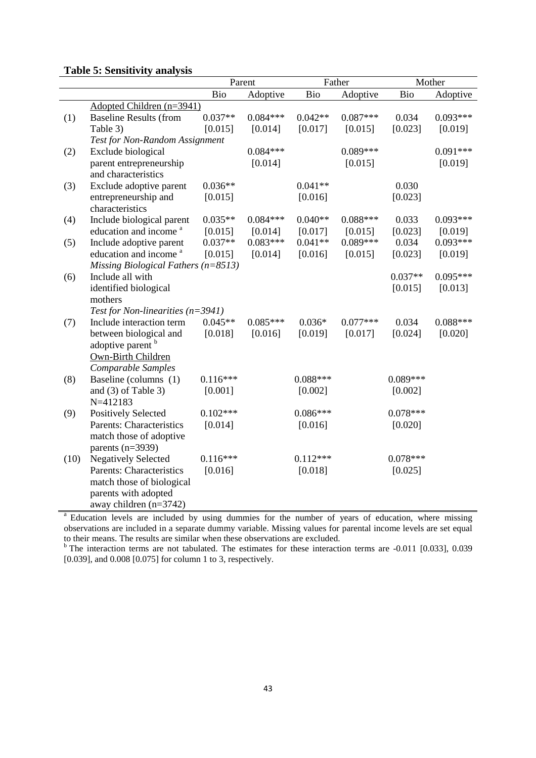#### **Table 5: Sensitivity analysis**

|      |                                         |            | Parent     |            | Father     |            | Mother     |
|------|-----------------------------------------|------------|------------|------------|------------|------------|------------|
|      |                                         | Bio        | Adoptive   | Bio        | Adoptive   | Bio        | Adoptive   |
|      | Adopted Children (n=3941)               |            |            |            |            |            |            |
| (1)  | <b>Baseline Results (from</b>           | $0.037**$  | $0.084***$ | $0.042**$  | $0.087***$ | 0.034      | $0.093***$ |
|      | Table 3)                                | [0.015]    | [0.014]    | [0.017]    | [0.015]    | [0.023]    | [0.019]    |
|      | Test for Non-Random Assignment          |            |            |            |            |            |            |
| (2)  | Exclude biological                      |            | $0.084***$ |            | $0.089***$ |            | $0.091***$ |
|      | parent entrepreneurship                 |            | [0.014]    |            | [0.015]    |            | [0.019]    |
|      | and characteristics                     |            |            |            |            |            |            |
| (3)  | Exclude adoptive parent                 | $0.036**$  |            | $0.041**$  |            | 0.030      |            |
|      | entrepreneurship and                    | [0.015]    |            | [0.016]    |            | [0.023]    |            |
|      | characteristics                         |            |            |            |            |            |            |
| (4)  | Include biological parent               | $0.035**$  | $0.084***$ | $0.040**$  | $0.088***$ | 0.033      | $0.093***$ |
|      | education and income <sup>a</sup>       | [0.015]    | [0.014]    | [0.017]    | [0.015]    | [0.023]    | [0.019]    |
| (5)  | Include adoptive parent                 | $0.037**$  | $0.083***$ | $0.041**$  | $0.089***$ | 0.034      | 0.093***   |
|      | education and income <sup>a</sup>       | [0.015]    | [0.014]    | [0.016]    | [0.015]    | [0.023]    | [0.019]    |
|      | Missing Biological Fathers ( $n=8513$ ) |            |            |            |            |            |            |
| (6)  | Include all with                        |            |            |            |            | $0.037**$  | $0.095***$ |
|      | identified biological                   |            |            |            |            | [0.015]    | [0.013]    |
|      | mothers                                 |            |            |            |            |            |            |
|      | Test for Non-linearities $(n=3941)$     |            |            |            |            |            |            |
| (7)  | Include interaction term                | $0.045**$  | $0.085***$ | $0.036*$   | $0.077***$ | 0.034      | $0.088***$ |
|      | between biological and                  | [0.018]    | [0.016]    | [0.019]    | [0.017]    | [0.024]    | [0.020]    |
|      | adoptive parent b                       |            |            |            |            |            |            |
|      | Own-Birth Children                      |            |            |            |            |            |            |
|      | Comparable Samples                      |            |            |            |            |            |            |
| (8)  | Baseline (columns (1)                   | $0.116***$ |            | $0.088***$ |            | $0.089***$ |            |
|      | and $(3)$ of Table 3)                   | [0.001]    |            | [0.002]    |            | [0.002]    |            |
|      | N=412183                                |            |            |            |            |            |            |
| (9)  | <b>Positively Selected</b>              | $0.102***$ |            | $0.086***$ |            | $0.078***$ |            |
|      | Parents: Characteristics                | [0.014]    |            | [0.016]    |            | [0.020]    |            |
|      | match those of adoptive                 |            |            |            |            |            |            |
|      | parents $(n=3939)$                      |            |            |            |            |            |            |
| (10) | <b>Negatively Selected</b>              | $0.116***$ |            | $0.112***$ |            | $0.078***$ |            |
|      | Parents: Characteristics                | [0.016]    |            | [0.018]    |            | [0.025]    |            |
|      | match those of biological               |            |            |            |            |            |            |
|      | parents with adopted                    |            |            |            |            |            |            |
|      | away children $(n=3742)$                |            |            |            |            |            |            |

<sup>a</sup> Education levels are included by using dummies for the number of years of education, where missing observations are included in a separate dummy variable. Missing values for parental income levels are set equal to their means. The results are similar when these observations are excluded.

 $b$  The interaction terms are not tabulated. The estimates for these interaction terms are  $-0.011$  [0.033], 0.039 [0.039], and 0.008 [0.075] for column 1 to 3, respectively.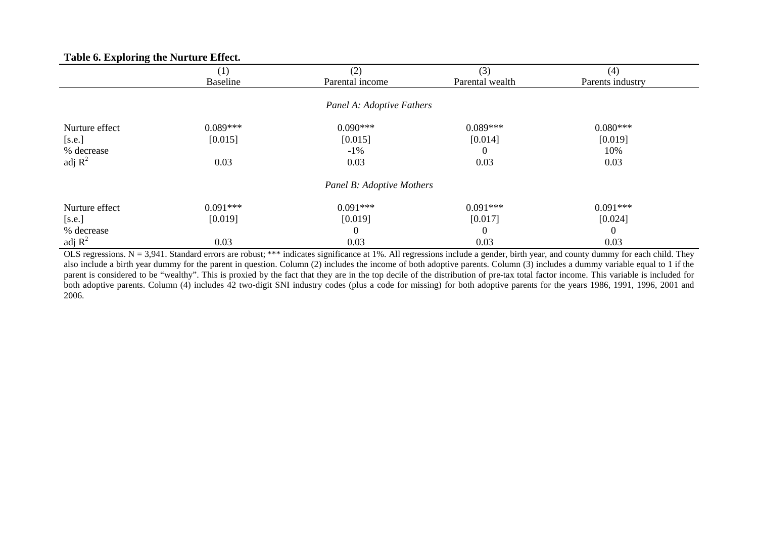| $\overline{\phantom{a}}$ | $\left( 1\right)$ | (2)                       | (3)             | (4)              |  |
|--------------------------|-------------------|---------------------------|-----------------|------------------|--|
|                          | Baseline          | Parental income           | Parental wealth | Parents industry |  |
|                          |                   | Panel A: Adoptive Fathers |                 |                  |  |
| Nurture effect           | $0.089***$        | $0.090***$                | $0.089***$      | $0.080***$       |  |
| [s.e.]                   | [0.015]           | [0.015]                   | [0.014]         | [0.019]          |  |
| % decrease               |                   | $-1\%$                    | $\overline{0}$  | 10%              |  |
| adj $R^2$                | 0.03              | 0.03                      | 0.03            | 0.03             |  |
|                          |                   | Panel B: Adoptive Mothers |                 |                  |  |
| Nurture effect           | $0.091***$        | $0.091***$                | $0.091***$      | $0.091***$       |  |
| [s.e.]                   | [0.019]           | [0.019]                   | [0.017]         | [0.024]          |  |
| % decrease               |                   | $\Omega$                  | $\theta$        | $\theta$         |  |
| adj $R^2$                | 0.03              | 0.03                      | 0.03            | 0.03             |  |

#### **Table 6. Exploring the Nurture Effect.**

OLS regressions. N = 3,941. Standard errors are robust; \*\*\* indicates significance at 1%. All regressions include a gender, birth year, and county dummy for each child. They also include a birth year dummy for the parent in question. Column (2) includes the income of both adoptive parents. Column (3) includes a dummy variable equal to 1 if the parent is considered to be "wealthy". This is proxied by the fact that they are in the top decile of the distribution of pre-tax total factor income. This variable is included for both adoptive parents. Column (4) includes 42 two-digit SNI industry codes (plus a code for missing) for both adoptive parents for the years 1986, 1991, 1996, 2001 and 2006.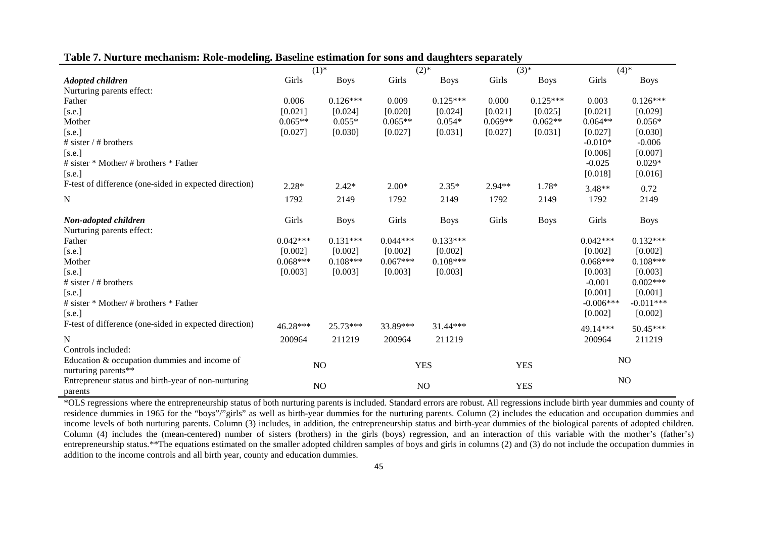|                                                                |            | $(1)^{*}$      |            | $(2)^{*}$      |           | $(3)*$      | $(4)$ *        |             |
|----------------------------------------------------------------|------------|----------------|------------|----------------|-----------|-------------|----------------|-------------|
| <b>Adopted children</b>                                        | Girls      | <b>Boys</b>    | Girls      | <b>Boys</b>    | Girls     | <b>Boys</b> | Girls          | <b>Boys</b> |
| Nurturing parents effect:                                      |            |                |            |                |           |             |                |             |
| Father                                                         | 0.006      | $0.126***$     | 0.009      | $0.125***$     | 0.000     | $0.125***$  | 0.003          | $0.126***$  |
| [s.e.]                                                         | [0.021]    | [0.024]        | [0.020]    | [0.024]        | [0.021]   | [0.025]     | [0.021]        | [0.029]     |
| Mother                                                         | $0.065**$  | $0.055*$       | $0.065**$  | $0.054*$       | $0.069**$ | $0.062**$   | $0.064**$      | $0.056*$    |
| [s.e.]                                                         | [0.027]    | [0.030]        | [0.027]    | [0.031]        | [0.027]   | [0.031]     | [0.027]        | [0.030]     |
| # sister $/$ # brothers                                        |            |                |            |                |           |             | $-0.010*$      | $-0.006$    |
| [s.e.]                                                         |            |                |            |                |           |             | [0.006]        | [0.007]     |
| # sister * Mother/ # brothers * Father                         |            |                |            |                |           |             | $-0.025$       | $0.029*$    |
| [s.e.]                                                         |            |                |            |                |           |             | [0.018]        | [0.016]     |
| F-test of difference (one-sided in expected direction)         | $2.28*$    | $2.42*$        | $2.00*$    | $2.35*$        | 2.94**    | $1.78*$     | $3.48**$       | 0.72        |
| ${\bf N}$                                                      | 1792       | 2149           | 1792       | 2149           | 1792      | 2149        | 1792           | 2149        |
| Non-adopted children                                           | Girls      | <b>Boys</b>    | Girls      | <b>Boys</b>    | Girls     | <b>Boys</b> | Girls          | <b>Boys</b> |
| Nurturing parents effect:                                      |            |                |            |                |           |             |                |             |
| Father                                                         | $0.042***$ | $0.131***$     | $0.044***$ | $0.133***$     |           |             | $0.042***$     | $0.132***$  |
| [s.e.]                                                         | [0.002]    | [0.002]        | [0.002]    | [0.002]        |           |             | [0.002]        | [0.002]     |
| Mother                                                         | $0.068***$ | $0.108***$     | $0.067***$ | $0.108***$     |           |             | $0.068***$     | $0.108***$  |
| [s.e.]                                                         | [0.003]    | [0.003]        | [0.003]    | [0.003]        |           |             | [0.003]        | [0.003]     |
| # sister / # brothers                                          |            |                |            |                |           |             | $-0.001$       | $0.002***$  |
| [s.e.]                                                         |            |                |            |                |           |             | [0.001]        | [0.001]     |
| # sister * Mother/ # brothers * Father                         |            |                |            |                |           |             | $-0.006***$    | $-0.011***$ |
| [s.e.]                                                         |            |                |            |                |           |             | [0.002]        | [0.002]     |
| F-test of difference (one-sided in expected direction)         | 46.28***   | 25.73***       | 33.89***   | 31.44***       |           |             | 49.14***       | 50.45***    |
| N                                                              | 200964     | 211219         | 200964     | 211219         |           |             | 200964         | 211219      |
| Controls included:                                             |            |                |            |                |           |             |                |             |
| Education & occupation dummies and income of                   |            | NO             |            | <b>YES</b>     |           | <b>YES</b>  | NO             |             |
| nurturing parents**                                            |            |                |            |                |           |             |                |             |
| Entrepreneur status and birth-year of non-nurturing<br>parents |            | N <sub>O</sub> |            | N <sub>O</sub> |           | <b>YES</b>  | N <sub>O</sub> |             |

**Table 7. Nurture mechanism: Role-modeling. Baseline estimation for sons and daughters separately** 

\*OLS regressions where the entrepreneurship status of both nurturing parents is included. Standard errors are robust. All regressions include birth year dummies and county of residence dummies in 1965 for the "boys"/"girls" as well as birth-year dummies for the nurturing parents. Column (2) includes the education and occupation dummies and income levels of both nurturing parents. Column (3) includes, in addition, the entrepreneurship status and birth-year dummies of the biological parents of adopted children. Column (4) includes the (mean-centered) number of sisters (brothers) in the girls (boys) regression, and an interaction of this variable with the mother's (father's) entrepreneurship status.\*\*The equations estimated on the smaller adopted children samples of boys and girls in columns (2) and (3) do not include the occupation dummies in addition to the income controls and all birth year, county and education dummies.